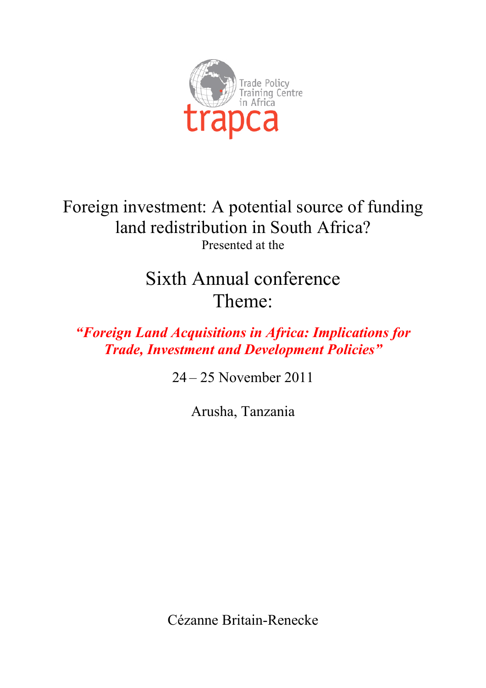

Foreign investment: A potential source of funding land redistribution in South Africa? Presented at the

# Sixth Annual conference Theme:

*"Foreign Land Acquisitions in Africa: Implications for Trade, Investment and Development Policies"*

24 – 25 November 2011

Arusha, Tanzania

Cézanne Britain-Renecke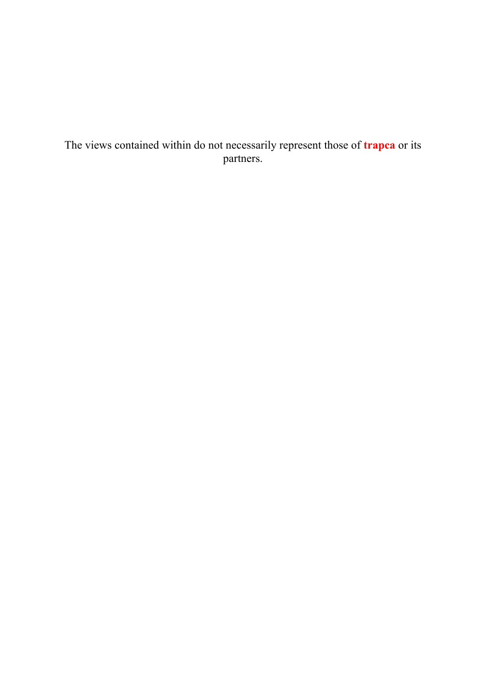## The views contained within do not necessarily represent those of **trapca** or its partners.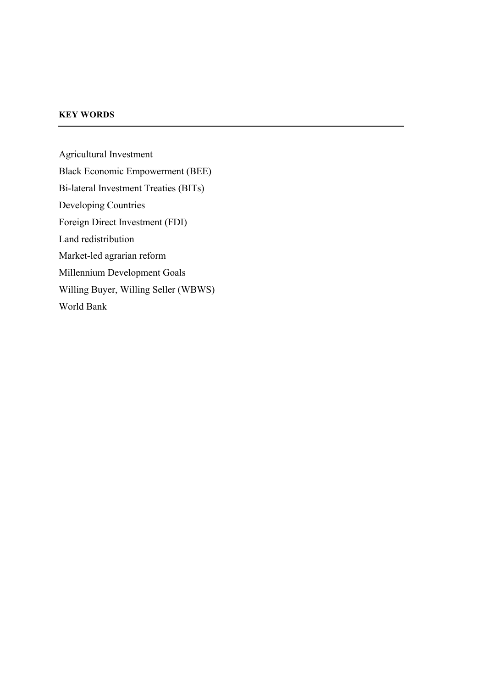## **KEY WORDS**

Agricultural Investment Black Economic Empowerment (BEE) Bi-lateral Investment Treaties (BITs) Developing Countries Foreign Direct Investment (FDI) Land redistribution Market-led agrarian reform Millennium Development Goals Willing Buyer, Willing Seller (WBWS) World Bank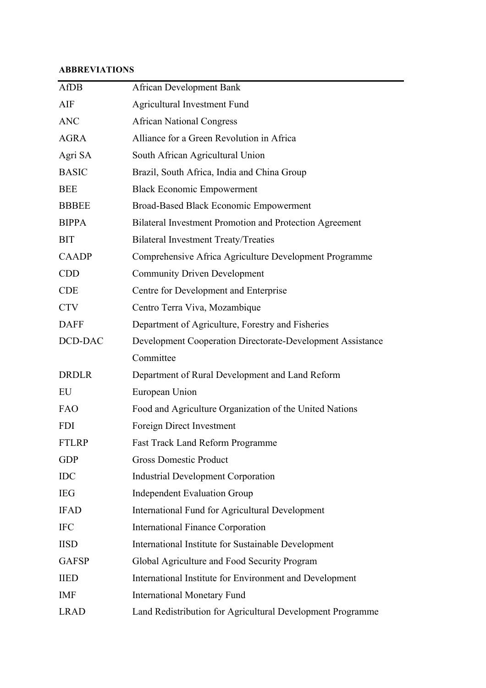## **ABBREVIATIONS**

| <b>AfDB</b>  | <b>African Development Bank</b>                            |
|--------------|------------------------------------------------------------|
| AIF          | <b>Agricultural Investment Fund</b>                        |
| <b>ANC</b>   | <b>African National Congress</b>                           |
| <b>AGRA</b>  | Alliance for a Green Revolution in Africa                  |
| Agri SA      | South African Agricultural Union                           |
| <b>BASIC</b> | Brazil, South Africa, India and China Group                |
| <b>BEE</b>   | <b>Black Economic Empowerment</b>                          |
| <b>BBBEE</b> | <b>Broad-Based Black Economic Empowerment</b>              |
| <b>BIPPA</b> | Bilateral Investment Promotion and Protection Agreement    |
| <b>BIT</b>   | <b>Bilateral Investment Treaty/Treaties</b>                |
| <b>CAADP</b> | Comprehensive Africa Agriculture Development Programme     |
| <b>CDD</b>   | <b>Community Driven Development</b>                        |
| <b>CDE</b>   | Centre for Development and Enterprise                      |
| <b>CTV</b>   | Centro Terra Viva, Mozambique                              |
| <b>DAFF</b>  | Department of Agriculture, Forestry and Fisheries          |
| DCD-DAC      | Development Cooperation Directorate-Development Assistance |
|              | Committee                                                  |
| <b>DRDLR</b> | Department of Rural Development and Land Reform            |
| EU           | European Union                                             |
| <b>FAO</b>   | Food and Agriculture Organization of the United Nations    |
| <b>FDI</b>   | Foreign Direct Investment                                  |
| <b>FTLRP</b> | <b>Fast Track Land Reform Programme</b>                    |
| <b>GDP</b>   | <b>Gross Domestic Product</b>                              |
| <b>IDC</b>   | <b>Industrial Development Corporation</b>                  |
| <b>IEG</b>   | <b>Independent Evaluation Group</b>                        |
| <b>IFAD</b>  | International Fund for Agricultural Development            |
| <b>IFC</b>   | <b>International Finance Corporation</b>                   |
| <b>IISD</b>  | International Institute for Sustainable Development        |
| <b>GAFSP</b> | Global Agriculture and Food Security Program               |
| <b>IIED</b>  | International Institute for Environment and Development    |
| <b>IMF</b>   | <b>International Monetary Fund</b>                         |
| <b>LRAD</b>  | Land Redistribution for Agricultural Development Programme |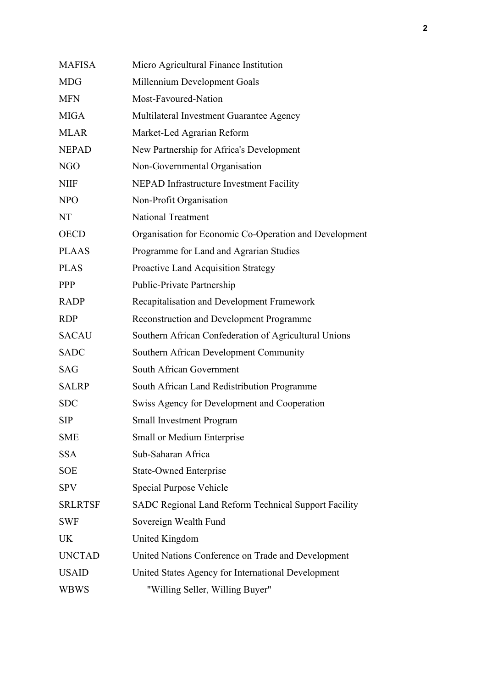| <b>MAFISA</b>  | Micro Agricultural Finance Institution                 |
|----------------|--------------------------------------------------------|
| <b>MDG</b>     | Millennium Development Goals                           |
| <b>MFN</b>     | Most-Favoured-Nation                                   |
| <b>MIGA</b>    | Multilateral Investment Guarantee Agency               |
| <b>MLAR</b>    | Market-Led Agrarian Reform                             |
| <b>NEPAD</b>   | New Partnership for Africa's Development               |
| <b>NGO</b>     | Non-Governmental Organisation                          |
| <b>NIIF</b>    | NEPAD Infrastructure Investment Facility               |
| <b>NPO</b>     | Non-Profit Organisation                                |
| NT             | <b>National Treatment</b>                              |
| <b>OECD</b>    | Organisation for Economic Co-Operation and Development |
| <b>PLAAS</b>   | Programme for Land and Agrarian Studies                |
| <b>PLAS</b>    | Proactive Land Acquisition Strategy                    |
| <b>PPP</b>     | Public-Private Partnership                             |
| <b>RADP</b>    | Recapitalisation and Development Framework             |
| <b>RDP</b>     | <b>Reconstruction and Development Programme</b>        |
| <b>SACAU</b>   | Southern African Confederation of Agricultural Unions  |
| <b>SADC</b>    | Southern African Development Community                 |
| <b>SAG</b>     | South African Government                               |
| <b>SALRP</b>   | South African Land Redistribution Programme            |
| <b>SDC</b>     | Swiss Agency for Development and Cooperation           |
| <b>SIP</b>     | <b>Small Investment Program</b>                        |
| <b>SME</b>     | Small or Medium Enterprise                             |
| <b>SSA</b>     | Sub-Saharan Africa                                     |
| <b>SOE</b>     | <b>State-Owned Enterprise</b>                          |
| <b>SPV</b>     | Special Purpose Vehicle                                |
| <b>SRLRTSF</b> | SADC Regional Land Reform Technical Support Facility   |
| <b>SWF</b>     | Sovereign Wealth Fund                                  |
| <b>UK</b>      | United Kingdom                                         |
| <b>UNCTAD</b>  | United Nations Conference on Trade and Development     |
| <b>USAID</b>   | United States Agency for International Development     |
| <b>WBWS</b>    | "Willing Seller, Willing Buyer"                        |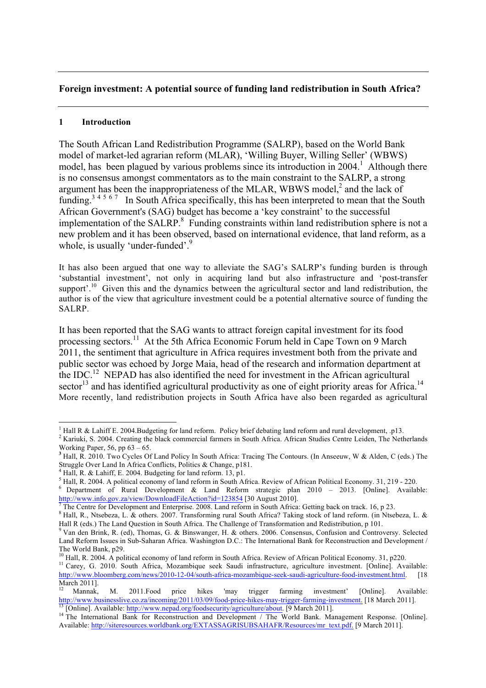## **Foreign investment: A potential source of funding land redistribution in South Africa?**

### **1 Introduction**

The South African Land Redistribution Programme (SALRP), based on the World Bank model of market-led agrarian reform (MLAR), 'Willing Buyer, Willing Seller' (WBWS) model, has been plagued by various problems since its introduction in  $2004$ <sup>1</sup>. Although there is no consensus amongst commentators as to the main constraint to the SALRP, a strong argument has been the inappropriateness of the MLAR, WBWS model, $<sup>2</sup>$  and the lack of</sup> funding.<sup>34567</sup> In South Africa specifically, this has been interpreted to mean that the South African Government's (SAG) budget has become a 'key constraint' to the successful implementation of the SALRP.<sup>8</sup> Funding constraints within land redistribution sphere is not a new problem and it has been observed, based on international evidence, that land reform, as a whole, is usually 'under-funded'.<sup>9</sup>

It has also been argued that one way to alleviate the SAG's SALRP's funding burden is through 'substantial investment', not only in acquiring land but also infrastructure and 'post-transfer support'.<sup>10</sup> Given this and the dynamics between the agricultural sector and land redistribution, the author is of the view that agriculture investment could be a potential alternative source of funding the SALRP.

It has been reported that the SAG wants to attract foreign capital investment for its food processing sectors.11 At the 5th Africa Economic Forum held in Cape Town on 9 March 2011, the sentiment that agriculture in Africa requires investment both from the private and public sector was echoed by Jorge Maia, head of the research and information department at the IDC.<sup>12</sup> NEPAD has also identified the need for investment in the African agricultural sector<sup>13</sup> and has identified agricultural productivity as one of eight priority areas for Africa.<sup>14</sup> More recently, land redistribution projects in South Africa have also been regarded as agricultural

<sup>&</sup>lt;sup>1</sup> Hall R & Lahiff E. 2004.Budgeting for land reform. Policy brief debating land reform and rural development, p13.<br><sup>2</sup> Kariuki, S. 2004. Creating the black commercial farmers in South Africa. African Studies Centre Leid

<sup>&</sup>lt;sup>3</sup> Hall, R. 2010. Two Cycles Of Land Policy In South Africa: Tracing The Contours. (In Anseeuw, W & Alden, C (eds.) The Struggle Over Land In Africa Conflicts, Politics & Change, p181.<br><sup>4</sup> Hall, R. & Lahiff, E. 2004. Budg

<sup>&</sup>lt;sup>5</sup> Hall, R. 2004. A political economy of land reform in South Africa. Review of African Political Economy. 31, 219 - 220.<br><sup>6</sup> Department of Rural Development & Land Reform strategic plan 2010 – 2013. [Online]. Available: http://www.info.gov.za/view/DownloadFileAction?id=123854 [30 August 2010].<br>
The Centre for Development and Enterprise. 2008. Land reform in South Africa: Getting back on track. 16, p 23.

<sup>&</sup>lt;sup>8</sup> Hall, R., Ntsebeza, L. & others. 2007. Transforming rural South Africa? Taking stock of land reform. (in Ntsebeza, L. & Hall R (eds.) The Land Ouestion in South Africa. The Challenge of Transformation and Redistributi

<sup>&</sup>lt;sup>9</sup> Van den Brink, R. (ed), Thomas, G. & Binswanger, H. & others. 2006. Consensus, Confusion and Controversy. Selected Land Reform Issues in Sub-Saharan Africa. Washington D.C.: The International Bank for Reconstruction and Development / The World Bank. p29.

<sup>&</sup>lt;sup>10</sup> Hall, R. 2004. A political economy of land reform in South Africa. Review of African Political Economy. 31, p220.<br><sup>11</sup> Carey, G. 2010. South Africa, Mozambique seek Saudi infrastructure, agriculture investment. [Onli http://www.bloomberg.com/news/2010-12-04/south-africa-mozambique-seek-saudi-agriculture-food-investment.html. [18 March 2011].

<sup>&</sup>lt;sup>12</sup> Mannak, M. 2011.Food price hikes 'may trigger farming investment' [Online]. Available: http://www.businesslive.co.za/incoming/2011/03/09/food-price-hikes-may-trigger-farming-investment. [18 March 2011].<br><sup>13</sup> [Online]. Available: http://www.nepad.org/foodsecurity/agriculture/about. [9 March 2011].<br><sup>14</sup> The In

Available: http://siteresources.worldbank.org/EXTASSAGRISUBSAHAFR/Resources/mr\_text.pdf. [9 March 2011].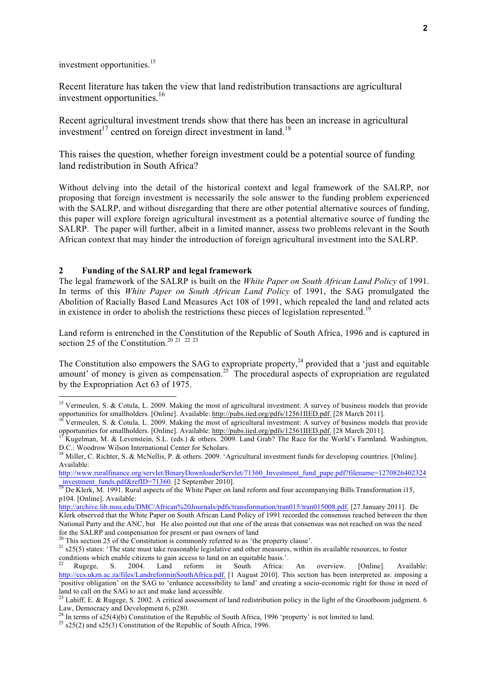investment opportunities.<sup>15</sup>

Recent literature has taken the view that land redistribution transactions are agricultural investment opportunities.<sup>16</sup>

Recent agricultural investment trends show that there has been an increase in agricultural investment<sup>17</sup> centred on foreign direct investment in land.<sup>18</sup>

This raises the question, whether foreign investment could be a potential source of funding land redistribution in South Africa?

Without delving into the detail of the historical context and legal framework of the SALRP, nor proposing that foreign investment is necessarily the sole answer to the funding problem experienced with the SALRP, and without disregarding that there are other potential alternative sources of funding, this paper will explore foreign agricultural investment as a potential alternative source of funding the SALRP. The paper will further, albeit in a limited manner, assess two problems relevant in the South African context that may hinder the introduction of foreign agricultural investment into the SALRP.

#### **2 Funding of the SALRP and legal framework**

!!!!!!!!!!!!!!!!!!!!!!!!!!!!!!!!!!!!!!!!!!!!!!!!!!!!!!!

The legal framework of the SALRP is built on the *White Paper on South African Land Policy* of 1991. In terms of this *White Paper on South African Land Policy* of 1991, the SAG promulgated the Abolition of Racially Based Land Measures Act 108 of 1991, which repealed the land and related acts in existence in order to abolish the restrictions these pieces of legislation represented.<sup>19</sup>

Land reform is entrenched in the Constitution of the Republic of South Africa, 1996 and is captured in section 25 of the Constitution.<sup>20 21</sup> <sup>22</sup> <sup>23</sup>

The Constitution also empowers the SAG to expropriate property,<sup>24</sup> provided that a 'just and equitable amount' of money is given as compensation.<sup>25</sup> The procedural aspects of expropriation are regulated by the Expropriation Act 63 of 1975.

<sup>&</sup>lt;sup>15</sup> Vermeulen, S. & Cotula, L. 2009. Making the most of agricultural investment: A survey of business models that provide opportunities for smallholders. [Online]. Available: http://pubs.iied.org/pdfs/12561IIED.pdf. [28 March 2011].<br><sup>16</sup> Vermeulen, S. & Cotula, L. 2009. Making the most of agricultural investment: A survey of business models t

opportunities for smallholders. [Online]. Available: http://pubs.iied.org/pdfs/12561IIED.pdf. [28 March 2011].<br><sup>17</sup> Kugelman, M. & Levenstein, S.L. (eds.) & others. 2009. Land Grab? The Race for the World's Farmland. Washi

D.C.: Woodrow Wilson International Center for Scholars.

<sup>&</sup>lt;sup>18</sup> Miller, C. Richter, S. & McNellis, P. & others. 2009. 'Agricultural investment funds for developing countries. [Online]. Available:

http://www.ruralfinance.org/servlet/BinaryDownloaderServlet/71360\_Investment\_fund\_pape.pdf?filename=1270826402324  $\frac{1}{19}$  De Klerk, M. 1991. Rural aspects of the White Paper on land reform and four accompanying Bills. Transformation i15,

p104. [Online]. Available:

http://archive.lib.msu.edu/DMC/African%20Journals/pdfs/transformation/tran015/tran015008.pdf. [27 January 2011]. De Klerk observed that the White Paper on South African Land Policy of 1991 recorded the consensus reached between the then National Party and the ANC, but He also pointed out that one of the areas that consensus was not reached on was the need for the SALRP and compensation for present or past owners of land <sup>20</sup> This section 25 of the Constitution is commonly referred to as 'the property clause'.

<sup>&</sup>lt;sup>21</sup>  $s25(5)$  states: 'The state must take reasonable legislative and other measures, within its available resources, to foster conditions which enable citizens to gain access to land on an equitable basis.'.

<sup>&</sup>lt;sup>22</sup> Rugege, S. 2004. Land reform in South Africa: An overview. [Online]. Available: http://ccs.ukzn.ac.za/files/LandreforminSouthAfrica.pdf. [1 August 2010]. This section has been interpreted as: imposing a 'positive obligation' on the SAG to 'enhance accessibility to land' and creating a socio-economic right for those in need of land to call on the SAG to act and make land accessible.

 $^{23}$  Lahiff, E. & Rugege, S. 2002. A critical assessment of land redistribution policy in the light of the Grootboom judgment. 6 Law, Democracy and Development 6, p280.

<sup>&</sup>lt;sup>24</sup> In terms of s25(4)(b) Constitution of the Republic of South Africa, 1996 'property' is not limited to land. <sup>25</sup> s25(2) and s25(3) Constitution of the Republic of South Africa, 1996.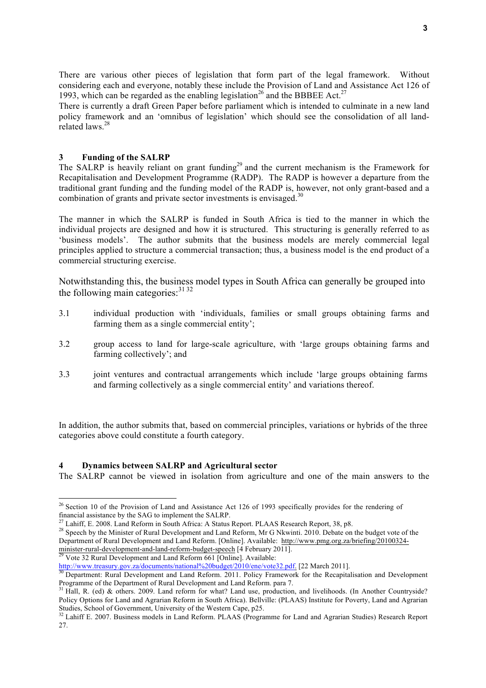There are various other pieces of legislation that form part of the legal framework. Without considering each and everyone, notably these include the Provision of Land and Assistance Act 126 of 1993, which can be regarded as the enabling legislation<sup>26</sup> and the BBBEE Act.<sup>27</sup>

There is currently a draft Green Paper before parliament which is intended to culminate in a new land policy framework and an 'omnibus of legislation' which should see the consolidation of all landrelated laws<sup>28</sup>

#### **3 Funding of the SALRP**

The SALRP is heavily reliant on grant funding<sup>29</sup> and the current mechanism is the Framework for Recapitalisation and Development Programme (RADP). The RADP is however a departure from the traditional grant funding and the funding model of the RADP is, however, not only grant-based and a combination of grants and private sector investments is envisaged.<sup>30</sup>

The manner in which the SALRP is funded in South Africa is tied to the manner in which the individual projects are designed and how it is structured. This structuring is generally referred to as 'business models'. The author submits that the business models are merely commercial legal principles applied to structure a commercial transaction; thus, a business model is the end product of a commercial structuring exercise.

Notwithstanding this, the business model types in South Africa can generally be grouped into the following main categories:  $3132$ 

- 3.1 individual production with 'individuals, families or small groups obtaining farms and farming them as a single commercial entity';
- 3.2 group access to land for large-scale agriculture, with 'large groups obtaining farms and farming collectively'; and
- 3.3 joint ventures and contractual arrangements which include 'large groups obtaining farms and farming collectively as a single commercial entity' and variations thereof.

In addition, the author submits that, based on commercial principles, variations or hybrids of the three categories above could constitute a fourth category.

#### **4 Dynamics between SALRP and Agricultural sector**

The SALRP cannot be viewed in isolation from agriculture and one of the main answers to the

<sup>&</sup>lt;sup>26</sup> Section 10 of the Provision of Land and Assistance Act 126 of 1993 specifically provides for the rendering of financial assistance by the SAG to implement the SALRP.<br><sup>27</sup> Lahiff, E. 2008. Land Reform in South Africa: A Status Report. PLAAS Research Report, 38, p8.

<sup>&</sup>lt;sup>28</sup> Speech by the Minister of Rural Development and Land Reform, Mr G Nkwinti. 2010. Debate on the budget vote of the Department of Rural Development and Land Reform. [Online]. Available: http://www.pmg.org.za/briefing/20100324 minister-rural-development-and-land-reform-budget-speech [4 February 2011].<br><sup>29</sup> Vote 32 Rural Development and Land Reform 661 [Online]. Available:

http://www.treasury.gov.za/documents/national%20budget/2010/ene/vote32.pdf. [22 March 2011].<br><sup>30</sup> Department: Rural Development and Land Reform. 2011. Policy Framework for the Recapitalisation and Development

Programme of the Department of Rural Development and Land Reform. para 7.<br><sup>31</sup> Hall, R. (ed) & others. 2009. Land reform for what? Land use, production, and livelihoods. (In Another Countryside? Policy Options for Land and Agrarian Reform in South Africa). Bellville: (PLAAS) Institute for Poverty, Land and Agrarian

Studies, School of Government, University of the Western Cape, p25.<br><sup>32</sup> Lahiff E. 2007. Business models in Land Reform. PLAAS (Programme for Land and Agrarian Studies) Research Report 27.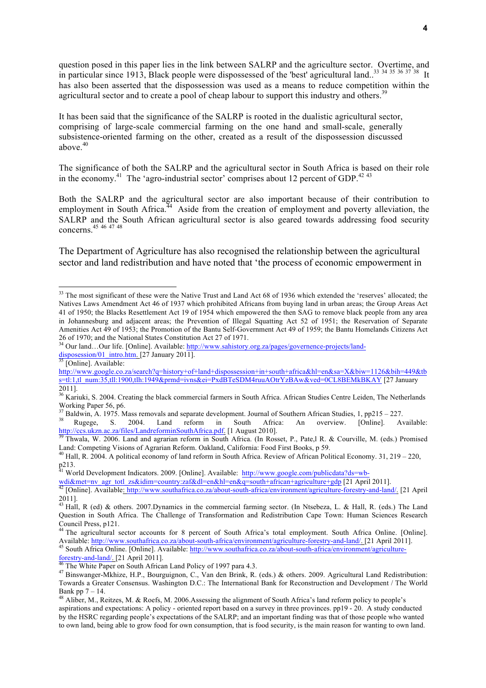question posed in this paper lies in the link between SALRP and the agriculture sector. Overtime, and in particular since 1913, Black people were dispossessed of the 'best' agricultural land..<sup>33</sup> <sup>34 35</sup> <sup>36 37</sup><sup>38</sup> It has also been asserted that the dispossession was used as a means to reduce competition within the agricultural sector and to create a pool of cheap labour to support this industry and others.<sup>39</sup>

It has been said that the significance of the SALRP is rooted in the dualistic agricultural sector, comprising of large-scale commercial farming on the one hand and small-scale, generally subsistence-oriented farming on the other, created as a result of the dispossession discussed above. $40$ 

The significance of both the SALRP and the agricultural sector in South Africa is based on their role in the economy.<sup>41</sup> The 'agro-industrial sector' comprises about 12 percent of GDP.<sup>42-43</sup>

Both the SALRP and the agricultural sector are also important because of their contribution to employment in South Africa.<sup>44</sup> Aside from the creation of employment and poverty alleviation, the SALRP and the South African agricultural sector is also geared towards addressing food security concerns.45 <sup>46</sup> <sup>47</sup> <sup>48</sup>

The Department of Agriculture has also recognised the relationship between the agricultural sector and land redistribution and have noted that 'the process of economic empowerment in

<sup>&</sup>lt;sup>33</sup> The most significant of these were the Native Trust and Land Act 68 of 1936 which extended the 'reserves' allocated; the Natives Laws Amendment Act 46 of 1937 which prohibited Africans from buying land in urban areas; the Group Areas Act 41 of 1950; the Blacks Resettlement Act 19 of 1954 which empowered the then SAG to remove black people from any area in Johannesburg and adjacent areas; the Prevention of Illegal Squatting Act 52 of 1951; the Reservation of Separate Amenities Act 49 of 1953; the Promotion of the Bantu Self-Government Act 49 of 1959; the Bantu Homelands Citizens Act 26 of 1970; and the National States Constitution Act 27 of 1971.

<sup>34</sup> Our land…Our life. [Online]. Available: http://www.sahistory.org.za/pages/governence-projects/land- $\frac{dissposesson/01\_intro.html}{35}$  [Online]. Available:

http://www.google.co.za/search?q=history+of+land+dispossession+in+south+africa&hl=en&sa=X&biw=1126&bih=449&tb s=tl:1,tl\_num:35,tll:1900,tlh:1949&prmd=ivns&ei=PxdBTeSDM4ruuAOtrYzBAw&ved=0CL8BEMkBKAY [27 January 2011].

<sup>&</sup>lt;sup>36</sup> Kariuki, S. 2004. Creating the black commercial farmers in South Africa. African Studies Centre Leiden, The Netherlands

Working Paper 56, p6.<br><sup>37</sup> Baldwin, A. 1975. Mass removals and separate development. Journal of Southern African Studies, 1, pp215 – 227.<br><sup>38</sup> Rugege, S. 2004. Land reform in South Africa: An overview. [Online]. Available

http://ccs.ukzn.ac.za/files/LandreforminSouthAfrica.pdf. [1 August 2010].<br><sup>39</sup> Thwala, W. 2006. Land and agrarian reform in South Africa. (In Rosset, P., Pate,l R. & Courville, M. (eds.) Promised

Land: Competing Visions of Agrarian Reform. Oakland, California: Food First Books, p 59.<br><sup>40</sup> Hall, R. 2004. A political economy of land reform in South Africa. Review of African Political Economy. 31, 219 – 220, p213.

<sup>&</sup>lt;sup>41</sup> World Development Indicators. 2009. [Online]. Available: http://www.google.com/publicdata?ds=wb-

wdi&met=nv agr totl zs&idim=country:zaf&dl=en&hl=en&q=south+african+agriculture+gdp [21 April 2011].<br><sup>42</sup> [Online]. Available<u>: http://www.southafrica.co.za/about-south-africa/environment/agriculture-forestry-and-land/. [2</u> 2011].

<sup>&</sup>lt;sup>43</sup> Hall, R (ed) & others. 2007. Dynamics in the commercial farming sector. (In Ntsebeza, L. & Hall, R. (eds.) The Land Question in South Africa. The Challenge of Transformation and Redistribution Cape Town: Human Sciences Research Council Press, p121.<br><sup>44</sup> The agricultural sector accounts for 8 percent of South Africa's total employment. South Africa Online. [Online].

Available: http://www.southafrica.co.za/about-south-africa/environment/agriculture-forestry-and-land/. [21 April 2011].<br><sup>45</sup> South Africa Online. [Online]. Available: http://www.southafrica.co.za/about-south-africa/environ

<sup>&</sup>lt;sup>46</sup> The White Paper on South African Land Policy of 1997 para 4.3.  $^{47}$  Binswanger-Mkhize, H.P., Bourguignon, C., Van den Brink, R. (eds.) & others. 2009. Agricultural Land Redistribution: Towards a Greater Consensus. Washington D.C.: The International Bank for Reconstruction and Development / The World Bank pp  $7 - 14$ .<br><sup>48</sup> Aliber, M., Reitzes, M. & Roefs, M. 2006.Assessing the alignment of South Africa's land reform policy to people's

aspirations and expectations: A policy - oriented report based on a survey in three provinces. pp19 - 20. A study conducted by the HSRC regarding people's expectations of the SALRP; and an important finding was that of those people who wanted to own land, being able to grow food for own consumption, that is food security, is the main reason for wanting to own land.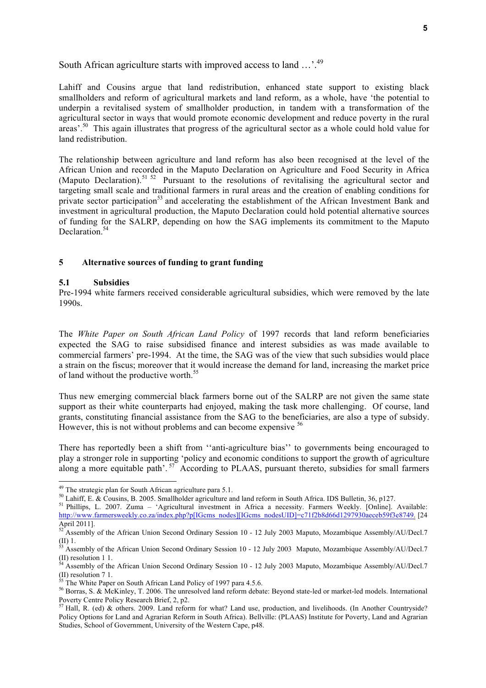## South African agriculture starts with improved access to land ...<sup>49</sup>

Lahiff and Cousins argue that land redistribution, enhanced state support to existing black smallholders and reform of agricultural markets and land reform, as a whole, have 'the potential to underpin a revitalised system of smallholder production, in tandem with a transformation of the agricultural sector in ways that would promote economic development and reduce poverty in the rural areas'.<sup>50</sup> This again illustrates that progress of the agricultural sector as a whole could hold value for land redistribution.

The relationship between agriculture and land reform has also been recognised at the level of the African Union and recorded in the Maputo Declaration on Agriculture and Food Security in Africa (Maputo Declaration).<sup>51 52</sup> Pursuant to the resolutions of revitalising the agricultural sector and targeting small scale and traditional farmers in rural areas and the creation of enabling conditions for private sector participation<sup>53</sup> and accelerating the establishment of the African Investment Bank and investment in agricultural production, the Maputo Declaration could hold potential alternative sources of funding for the SALRP, depending on how the SAG implements its commitment to the Maputo Declaration<sup>54</sup>

#### **5 Alternative sources of funding to grant funding**

#### **5.1 Subsidies**

Pre-1994 white farmers received considerable agricultural subsidies, which were removed by the late 1990s.

The *White Paper on South African Land Policy* of 1997 records that land reform beneficiaries expected the SAG to raise subsidised finance and interest subsidies as was made available to commercial farmers' pre-1994. At the time, the SAG was of the view that such subsidies would place a strain on the fiscus; moreover that it would increase the demand for land, increasing the market price of land without the productive worth.<sup>55</sup>

Thus new emerging commercial black farmers borne out of the SALRP are not given the same state support as their white counterparts had enjoyed, making the task more challenging. Of course, land grants, constituting financial assistance from the SAG to the beneficiaries, are also a type of subsidy. However, this is not without problems and can become expensive <sup>56</sup>

There has reportedly been a shift from ''anti-agriculture bias'' to governments being encouraged to play a stronger role in supporting 'policy and economic conditions to support the growth of agriculture along a more equitable path'.<sup>57</sup> According to PLAAS, pursuant thereto, subsidies for small farmers

<sup>&</sup>lt;sup>49</sup> The strategic plan for South African agriculture para 5.1.

<sup>&</sup>lt;sup>50</sup> Lahiff, E. & Cousins, B. 2005. Smallholder agriculture and land reform in South Africa. IDS Bulletin, 36, p127.<br><sup>51</sup> Phillips, L. 2007. Zuma – 'Agricultural investment in Africa a necessity. Farmers Weekly. [Online]. http://www.farmersweekly.co.za/index.php?p[IGcms\_nodes][IGcms\_nodesUID]=c71f2b8d66d1297930aeceb59f3e8749. [24 April 2011].

 $52$  Assembly of the African Union Second Ordinary Session 10 - 12 July 2003 Maputo, Mozambique Assembly/AU/Decl.7

<sup>(</sup>II) 1. <sup>53</sup> Assembly of the African Union Second Ordinary Session 10 - 12 July 2003 Maputo, Mozambique Assembly/AU/Decl.7

<sup>(</sup>II) resolution 1 1.<br><sup>54</sup> Assembly of the African Union Second Ordinary Session 10 - 12 July 2003 Maputo, Mozambique Assembly/AU/Decl.7<br>(II) resolution 7 1.

The White Paper on South African Land Policy of 1997 para 4.5.6.<br><sup>56</sup> Borras, S. & McKinley, T. 2006. The unresolved land reform debate: Beyond state-led or market-led models. International<br>Poverty Centre Policy Research

 $57$  Hall, R. (ed) & others. 2009. Land reform for what? Land use, production, and livelihoods. (In Another Countryside? Policy Options for Land and Agrarian Reform in South Africa). Bellville: (PLAAS) Institute for Poverty, Land and Agrarian Studies, School of Government, University of the Western Cape, p48.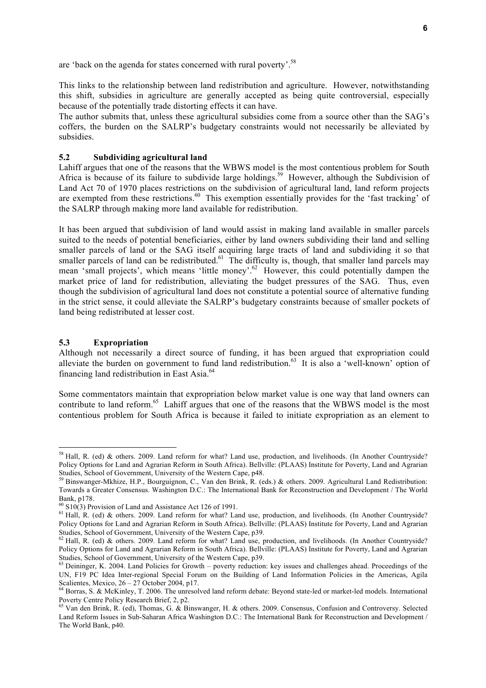are 'back on the agenda for states concerned with rural poverty'.<sup>58</sup>

This links to the relationship between land redistribution and agriculture. However, notwithstanding this shift, subsidies in agriculture are generally accepted as being quite controversial, especially because of the potentially trade distorting effects it can have.

The author submits that, unless these agricultural subsidies come from a source other than the SAG's coffers, the burden on the SALRP's budgetary constraints would not necessarily be alleviated by subsidies.

### **5.2 Subdividing agricultural land**

Lahiff argues that one of the reasons that the WBWS model is the most contentious problem for South Africa is because of its failure to subdivide large holdings.<sup>59</sup> However, although the Subdivision of Land Act 70 of 1970 places restrictions on the subdivision of agricultural land, land reform projects are exempted from these restrictions.<sup>60</sup> This exemption essentially provides for the 'fast tracking' of the SALRP through making more land available for redistribution.

It has been argued that subdivision of land would assist in making land available in smaller parcels suited to the needs of potential beneficiaries, either by land owners subdividing their land and selling smaller parcels of land or the SAG itself acquiring large tracts of land and subdividing it so that smaller parcels of land can be redistributed.<sup>61</sup> The difficulty is, though, that smaller land parcels may mean 'small projects', which means 'little money'.<sup>62</sup> However, this could potentially dampen the market price of land for redistribution, alleviating the budget pressures of the SAG. Thus, even though the subdivision of agricultural land does not constitute a potential source of alternative funding in the strict sense, it could alleviate the SALRP's budgetary constraints because of smaller pockets of land being redistributed at lesser cost.

#### **5.3 Expropriation**

!!!!!!!!!!!!!!!!!!!!!!!!!!!!!!!!!!!!!!!!!!!!!!!!!!!!!!!

Although not necessarily a direct source of funding, it has been argued that expropriation could alleviate the burden on government to fund land redistribution.<sup>63</sup> It is also a 'well-known' option of financing land redistribution in East Asia.64

Some commentators maintain that expropriation below market value is one way that land owners can contribute to land reform.<sup>65</sup> Lahiff argues that one of the reasons that the WBWS model is the most contentious problem for South Africa is because it failed to initiate expropriation as an element to

 $58$  Hall, R. (ed) & others. 2009. Land reform for what? Land use, production, and livelihoods. (In Another Countryside? Policy Options for Land and Agrarian Reform in South Africa). Bellville: (PLAAS) Institute for Poverty, Land and Agrarian Studies, School of Government, University of the Western Cape, p48.

<sup>&</sup>lt;sup>59</sup> Binswanger-Mkhize, H.P., Bourguignon, C., Van den Brink, R. (eds.) & others. 2009. Agricultural Land Redistribution: Towards a Greater Consensus. Washington D.C.: The International Bank for Reconstruction and Development / The World Bank, p178.<br><sup>60</sup> S10(3) Provision of Land and Assistance Act 126 of 1991.

 $61$  Hall, R. (ed) & others. 2009. Land reform for what? Land use, production, and livelihoods. (In Another Countryside? Policy Options for Land and Agrarian Reform in South Africa). Bellville: (PLAAS) Institute for Poverty, Land and Agrarian Studies, School of Government, University of the Western Cape, p39.<br><sup>62</sup> Hall, R. (ed) & others. 2009. Land reform for what? Land use, production, and livelihoods. (In Another Countryside?

Policy Options for Land and Agrarian Reform in South Africa). Bellville: (PLAAS) Institute for Poverty, Land and Agrarian Studies, School of Government, University of the Western Cape, p39.

<sup>&</sup>lt;sup>63</sup> Deininger, K. 2004. Land Policies for Growth – poverty reduction: key issues and challenges ahead. Proceedings of the UN, F19 PC Idea Inter-regional Special Forum on the Building of Land Information Policies in the Americas, Agila Scalientes, Mexico, 26 – 27 October 2004, p17.<br><sup>64</sup> Borras, S. & McKinley, T. 2006. The unresolved land reform debate: Beyond state-led or market-led models. International

Poverty Centre Policy Research Brief, 2, p2.<br><sup>65</sup> Van den Brink, R. (ed), Thomas, G. & Binswanger, H. & others. 2009. Consensus, Confusion and Controversy. Selected

Land Reform Issues in Sub-Saharan Africa Washington D.C.: The International Bank for Reconstruction and Development / The World Bank, p40.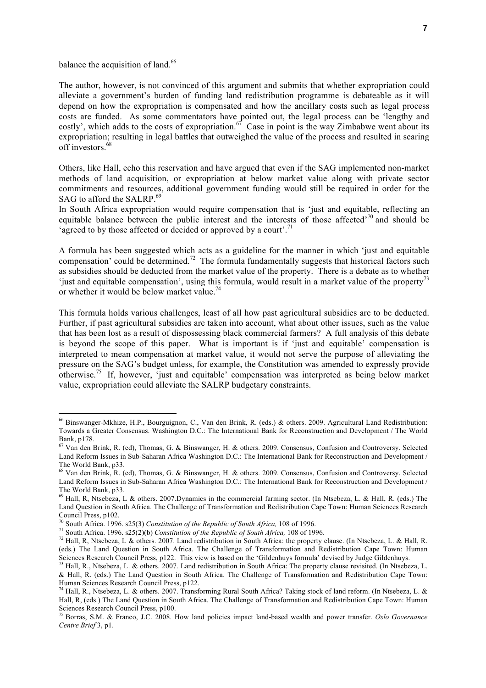balance the acquisition of land.<sup>66</sup>

!!!!!!!!!!!!!!!!!!!!!!!!!!!!!!!!!!!!!!!!!!!!!!!!!!!!!!!

The author, however, is not convinced of this argument and submits that whether expropriation could alleviate a government's burden of funding land redistribution programme is debateable as it will depend on how the expropriation is compensated and how the ancillary costs such as legal process costs are funded. As some commentators have pointed out, the legal process can be 'lengthy and costly', which adds to the costs of expropriation.<sup>67</sup> Case in point is the way Zimbabwe went about its expropriation; resulting in legal battles that outweighed the value of the process and resulted in scaring  $\overline{\text{off}}$  investors  $\overline{68}$ 

Others, like Hall, echo this reservation and have argued that even if the SAG implemented non-market methods of land acquisition, or expropriation at below market value along with private sector commitments and resources, additional government funding would still be required in order for the SAG to afford the SALRP.<sup>69</sup>

In South Africa expropriation would require compensation that is 'just and equitable, reflecting an equitable balance between the public interest and the interests of those affected<sup>70</sup> and should be 'agreed to by those affected or decided or approved by a court'.<sup>71</sup>

A formula has been suggested which acts as a guideline for the manner in which 'just and equitable compensation' could be determined.<sup>72</sup> The formula fundamentally suggests that historical factors such as subsidies should be deducted from the market value of the property. There is a debate as to whether 'just and equitable compensation', using this formula, would result in a market value of the property<sup>73</sup> or whether it would be below market value.<sup>74</sup>

This formula holds various challenges, least of all how past agricultural subsidies are to be deducted. Further, if past agricultural subsidies are taken into account, what about other issues, such as the value that has been lost as a result of dispossessing black commercial farmers? A full analysis of this debate is beyond the scope of this paper. What is important is if 'just and equitable' compensation is interpreted to mean compensation at market value, it would not serve the purpose of alleviating the pressure on the SAG's budget unless, for example, the Constitution was amended to expressly provide otherwise.<sup>75</sup> If, however, 'just and equitable' compensation was interpreted as being below market value, expropriation could alleviate the SALRP budgetary constraints.

<sup>66</sup> Binswanger-Mkhize, H.P., Bourguignon, C., Van den Brink, R. (eds.) & others. 2009. Agricultural Land Redistribution: Towards a Greater Consensus. Washington D.C.: The International Bank for Reconstruction and Development / The World Bank, p178.

<sup>67</sup> Van den Brink, R. (ed), Thomas, G. & Binswanger, H. & others. 2009. Consensus, Confusion and Controversy. Selected Land Reform Issues in Sub-Saharan Africa Washington D.C.: The International Bank for Reconstruction and Development / The World Bank, p33.

<sup>&</sup>lt;sup>68</sup> Van den Brink, R. (ed), Thomas, G. & Binswanger, H. & others. 2009. Consensus, Confusion and Controversy. Selected Land Reform Issues in Sub-Saharan Africa Washington D.C.: The International Bank for Reconstruction and Development / The World Bank, p33.

<sup>69</sup> Hall, R, Ntsebeza, L & others. 2007.Dynamics in the commercial farming sector. (In Ntsebeza, L. & Hall, R. (eds.) The Land Question in South Africa. The Challenge of Transformation and Redistribution Cape Town: Human Sciences Research Council Press, p102.<br><sup>70</sup> South Africa. 1996. s25(3) Constitution of the Republic of South Africa, 108 of 1996.<br><sup>71</sup> South Africa. 1996. s25(2)(b) Constitution of the Republic of South Africa, 108 of 1996.<br><sup>72</sup> Hall, R, N

<sup>(</sup>eds.) The Land Question in South Africa. The Challenge of Transformation and Redistribution Cape Town: Human Sciences Research Council Press, p122. This view is based on the 'Gildenhuys formula' devised by Judge Gildenhuys.<br><sup>73</sup> Hall, R., Ntsebeza, L. & others. 2007. Land redistribution in South Africa: The property clause revis

<sup>&</sup>amp; Hall, R. (eds.) The Land Question in South Africa. The Challenge of Transformation and Redistribution Cape Town: Human Sciences Research Council Press, p122.<br><sup>74</sup> Hall, R., Ntsebeza, L. & others. 2007. Transforming Rural South Africa? Taking stock of land reform. (In Ntsebeza, L. &

Hall, R, (eds.) The Land Question in South Africa. The Challenge of Transformation and Redistribution Cape Town: Human Sciences Research Council Press, p100.

<sup>75</sup> Borras, S.M. & Franco, J.C. 2008. How land policies impact land-based wealth and power transfer. *Oslo Governance Centre Brief* 3, p1.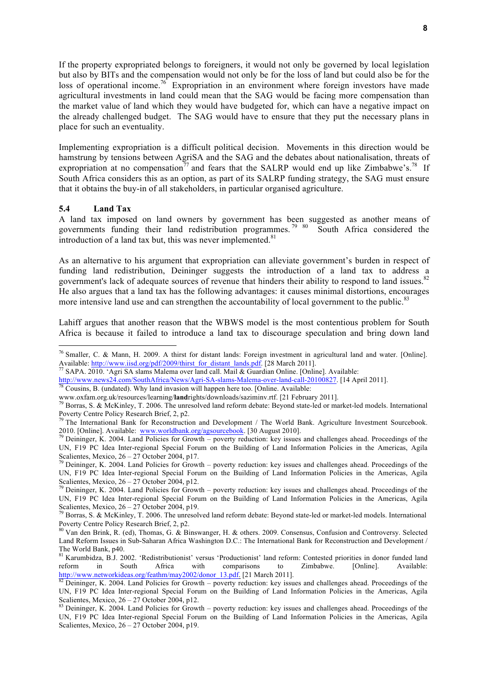If the property expropriated belongs to foreigners, it would not only be governed by local legislation but also by BITs and the compensation would not only be for the loss of land but could also be for the loss of operational income.<sup>76</sup> Expropriation in an environment where foreign investors have made agricultural investments in land could mean that the SAG would be facing more compensation than the market value of land which they would have budgeted for, which can have a negative impact on the already challenged budget. The SAG would have to ensure that they put the necessary plans in place for such an eventuality.

Implementing expropriation is a difficult political decision. Movements in this direction would be hamstrung by tensions between AgriSA and the SAG and the debates about nationalisation, threats of expropriation at no compensation<sup>77</sup> and fears that the SALRP would end up like Zimbabwe's.<sup>78</sup> If South Africa considers this as an option, as part of its SALRP funding strategy, the SAG must ensure that it obtains the buy-in of all stakeholders, in particular organised agriculture.

#### **5.4 Land Tax**

!!!!!!!!!!!!!!!!!!!!!!!!!!!!!!!!!!!!!!!!!!!!!!!!!!!!!!!

A land tax imposed on land owners by government has been suggested as another means of governments funding their land redistribution programmes.<sup>79 80</sup> South Africa considered the introduction of a land tax but, this was never implemented. $81$ 

As an alternative to his argument that expropriation can alleviate government's burden in respect of funding land redistribution, Deininger suggests the introduction of a land tax to address a government's lack of adequate sources of revenue that hinders their ability to respond to land issues.<sup>82</sup> He also argues that a land tax has the following advantages: it causes minimal distortions, encourages more intensive land use and can strengthen the accountability of local government to the public.<sup>82</sup>

Lahiff argues that another reason that the WBWS model is the most contentious problem for South Africa is because it failed to introduce a land tax to discourage speculation and bring down land

http://www.news24.com/SouthAfrica/News/Agri-SA-slams-Malema-over-land-call-20100827. [14 April 2011].<br><sup>78</sup> Cousins, B. (undated). Why land invasion will happen here too. [Online. Available:

<sup>76</sup> Smaller, C. & Mann, H. 2009. A thirst for distant lands: Foreign investment in agricultural land and water. [Online]. Available: http://www.iisd.org/pdf/2009/thirst\_for\_distant\_lands.pdf. [28 March 2011].<br>
<sup>77</sup> SAPA. 2010. 'Agri SA slams Malema over land call. Mail & Guardian Online. [Online]. Available:

www.oxfam.org.uk/resources/learning/**land**rights/downloads/saziminv.rtf. [21 February 2011].<br><sup>79</sup> Borras, S. & McKinley, T. 2006. The unresolved land reform debate: Beyond state-led or market-led models. International<br>Pove

<sup>&</sup>lt;sup>79</sup> The International Bank for Reconstruction and Development / The World Bank. Agriculture Investment Sourcebook. 2010. [Online]. Available: www.worldbank.org/agsourcebook. [30 August 2010].<br><sup>79</sup> Deininger, K. 2004. Land Policies for Growth – poverty reduction: key issues and challenges ahead. Proceedings of the

UN, F19 PC Idea Inter-regional Special Forum on the Building of Land Information Policies in the Americas, Agila<br>Scalientes, Mexico, 26 – 27 October 2004, p17.<br><sup>79</sup> Deininger K, 2004, Land Policies for Growth, powerty red

Deininger, K. 2004. Land Policies for Growth – poverty reduction: key issues and challenges ahead. Proceedings of the UN, F19 PC Idea Inter-regional Special Forum on the Building of Land Information Policies in the Americas, Agila Scalientes, Mexico, 26 – 27 October 2004, p12.<br><sup>79</sup> Deininger, K. 2004. Land Policies for Growth – poverty reduction: key issues and challenges ahead. Proceedings of the

UN, F19 PC Idea Inter-regional Special Forum on the Building of Land Information Policies in the Americas, Agila

Scalientes, Mexico, 26 – 27 October 2004, p19.<br><sup>79</sup> Borras, S. & McKinley, T. 2006. The unresolved land reform debate: Beyond state-led or market-led models. International Poverty Centre Policy Research Brief, 2, p2.<br><sup>80</sup> Van den Brink, R. (ed), Thomas, G. & Binswanger, H. & others. 2009. Consensus, Confusion and Controversy. Selected

Land Reform Issues in Sub-Saharan Africa Washington D.C.: The International Bank for Reconstruction and Development / The World Bank, p40.<br><sup>81</sup> Karumbidza, B.J. 2002. 'Redistributionist' versus 'Productionist' land reform: Contested priorities in donor funded land

reform in South Africa with comparisons to Zimbabwe. [Online]. Available:<br>  $\frac{http://www.networkides.org/feathm/may2002/donor_13.pdf}{\sqrt{82} \text{ Doinipger } V_12004 \text{ J} \text{ rad } P_1111}$ .

Deininger, K. 2004. Land Policies for Growth – poverty reduction: key issues and challenges ahead. Proceedings of the UN, F19 PC Idea Inter-regional Special Forum on the Building of Land Information Policies in the Americas, Agila

Scalientes, Mexico,  $26 - 27$  October 2004, p12.<br><sup>83</sup> Deininger, K. 2004. Land Policies for Growth – poverty reduction: key issues and challenges ahead. Proceedings of the UN, F19 PC Idea Inter-regional Special Forum on the Building of Land Information Policies in the Americas, Agila Scalientes, Mexico, 26 – 27 October 2004, p19.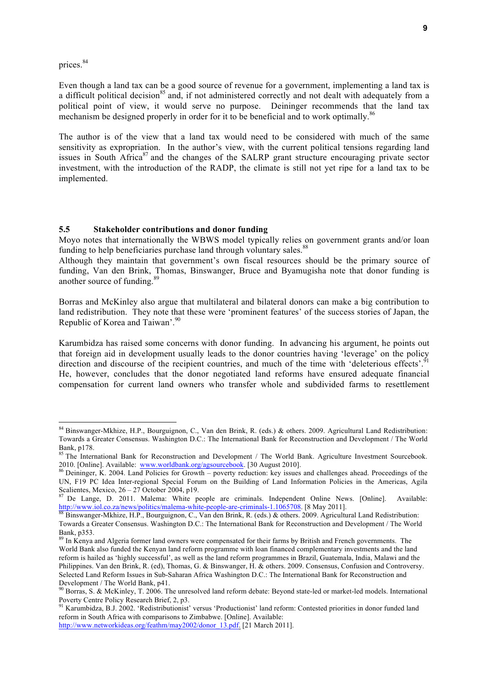prices.<sup>84</sup>

Even though a land tax can be a good source of revenue for a government, implementing a land tax is a difficult political decision<sup>85</sup> and, if not administered correctly and not dealt with adequately from a political point of view, it would serve no purpose. Deininger recommends that the land tax mechanism be designed properly in order for it to be beneficial and to work optimally.<sup>86</sup>

The author is of the view that a land tax would need to be considered with much of the same sensitivity as expropriation. In the author's view, with the current political tensions regarding land issues in South Africa<sup>87</sup> and the changes of the SALRP grant structure encouraging private sector investment, with the introduction of the RADP, the climate is still not yet ripe for a land tax to be implemented.

#### **5.5 Stakeholder contributions and donor funding**

Moyo notes that internationally the WBWS model typically relies on government grants and/or loan funding to help beneficiaries purchase land through voluntary sales.<sup>88</sup>

Although they maintain that government's own fiscal resources should be the primary source of funding, Van den Brink, Thomas, Binswanger, Bruce and Byamugisha note that donor funding is another source of funding.89

Borras and McKinley also argue that multilateral and bilateral donors can make a big contribution to land redistribution. They note that these were 'prominent features' of the success stories of Japan, the Republic of Korea and Taiwan'.<sup>90</sup>

Karumbidza has raised some concerns with donor funding. In advancing his argument, he points out that foreign aid in development usually leads to the donor countries having 'leverage' on the policy direction and discourse of the recipient countries, and much of the time with 'deleterious effects'.<sup>91</sup> He, however, concludes that the donor negotiated land reforms have ensured adequate financial compensation for current land owners who transfer whole and subdivided farms to resettlement

<sup>84</sup> Binswanger-Mkhize, H.P., Bourguignon, C., Van den Brink, R. (eds.) & others. 2009. Agricultural Land Redistribution: Towards a Greater Consensus. Washington D.C.: The International Bank for Reconstruction and Development / The World Bank, p178.

<sup>&</sup>lt;sup>85</sup> The International Bank for Reconstruction and Development / The World Bank. Agriculture Investment Sourcebook. 2010. [Online]. Available: www.worldbank.org/agsourcebook. [30 August 2010].<br><sup>86</sup> Deininger, K. 2004. Land Policies for Growth – poverty reduction: key issues and challenges ahead. Proceedings of the

UN, F19 PC Idea Inter-regional Special Forum on the Building of Land Information Policies in the Americas, Agila Scalientes, Mexico,  $26 - 27$  October 2004, p19.

 $^{17}$  De Lange, D. 2011. Malema: White people are criminals. Independent Online News. [Online]. Available: http://www.iol.co.za/news/politics/malema-white-people-are-criminals-1.1065708. [8 May 2011].<br><sup>88</sup> Binswanger-Mkhize, H.P., Bourguignon, C., Van den Brink, R. (eds.) & others. 2009. Agricultural Land Redistribution:

Towards a Greater Consensus. Washington D.C.: The International Bank for Reconstruction and Development / The World Bank, p353.<br><sup>89</sup> In Kenya and Algeria former land owners were compensated for their farms by British and French governments. The

World Bank also funded the Kenyan land reform programme with loan financed complementary investments and the land reform is hailed as 'highly successful', as well as the land reform programmes in Brazil, Guatemala, India, Malawi and the Philippines. Van den Brink, R. (ed), Thomas, G. & Binswanger, H. & others. 2009. Consensus, Confusion and Controversy. Selected Land Reform Issues in Sub-Saharan Africa Washington D.C.: The International Bank for Reconstruction and Development / The World Bank, p41.

<sup>&</sup>lt;sup>90</sup> Borras, S. & McKinley, T. 2006. The unresolved land reform debate: Beyond state-led or market-led models. International Poverty Centre Policy Research Brief, 2, p3.<br><sup>91</sup> Karumbidza, B.J. 2002. 'Redistributionist' versus 'Productionist' land reform: Contested priorities in donor funded land

reform in South Africa with comparisons to Zimbabwe. [Online]. Available: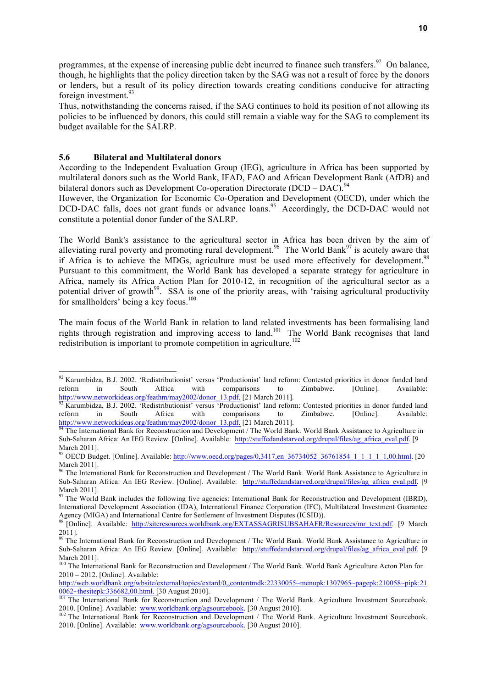programmes, at the expense of increasing public debt incurred to finance such transfers.<sup>92</sup> On balance, though, he highlights that the policy direction taken by the SAG was not a result of force by the donors or lenders, but a result of its policy direction towards creating conditions conducive for attracting foreign investment.<sup>93</sup>

Thus, notwithstanding the concerns raised, if the SAG continues to hold its position of not allowing its policies to be influenced by donors, this could still remain a viable way for the SAG to complement its budget available for the SALRP.

#### **5.6 Bilateral and Multilateral donors**

According to the Independent Evaluation Group (IEG), agriculture in Africa has been supported by multilateral donors such as the World Bank, IFAD, FAO and African Development Bank (AfDB) and bilateral donors such as Development Co-operation Directorate (DCD – DAC).<sup>94</sup>

However, the Organization for Economic Co-Operation and Development (OECD), under which the DCD-DAC falls, does not grant funds or advance loans.<sup>95</sup> Accordingly, the DCD-DAC would not constitute a potential donor funder of the SALRP.

The World Bank's assistance to the agricultural sector in Africa has been driven by the aim of alleviating rural poverty and promoting rural development.<sup>96</sup> The World Bank<sup>97</sup> is acutely aware that if Africa is to achieve the MDGs, agriculture must be used more effectively for development.<sup>98</sup> Pursuant to this commitment, the World Bank has developed a separate strategy for agriculture in Africa, namely its Africa Action Plan for 2010-12, in recognition of the agricultural sector as a potential driver of growth<sup>99</sup>. SSA is one of the priority areas, with 'raising agricultural productivity for smallholders' being a key focus.<sup>100</sup>

The main focus of the World Bank in relation to land related investments has been formalising land rights through registration and improving access to land.101 The World Bank recognises that land redistribution is important to promote competition in agriculture.<sup>102</sup>

<sup>&</sup>lt;sup>92</sup> Karumbidza, B.J. 2002. 'Redistributionist' versus 'Productionist' land reform: Contested priorities in donor funded land reform in South Africa with comparisons to Zimbabwe. [Online]. Available: http://www.networkideas.org/feathm/may2002/donor\_13.pdf. [21 March 2011].<br><sup>93</sup> Karumbidza, B.J. 2002. 'Redistributionist' versus 'Productionist' land reform: Contested priorities in donor funded land

reform in South Africa with comparisons to Zimbabwe. [Online]. Available:

http://www.networkideas.org/feathm/may2002/donor\_13.pdf. [21 March 2011].<br><sup>94</sup> The International Bank for Reconstruction and Development / The World Bank. World Bank Assistance to Agriculture in Sub-Saharan Africa: An IEG Review. [Online]. Available: http://stuffedandstarved.org/drupal/files/ag\_africa\_eval.pdf. [9 March 2011].

<sup>95</sup> OECD Budget. [Online]. Available: http://www.oecd.org/pages/0,3417,en\_36734052\_36761854\_1\_1\_1\_1\_1,00.html. [20 March 2011].

<sup>96</sup> The International Bank for Reconstruction and Development / The World Bank. World Bank Assistance to Agriculture in Sub-Saharan Africa: An IEG Review. [Online]. Available: http://stuffedandstarved.org/drupal/files/ag\_africa\_eval.pdf. [9 March 2011].

 $97$  The World Bank includes the following five agencies: International Bank for Reconstruction and Development (IBRD), International Development Association (IDA), International Finance Corporation (IFC), Multilateral Investment Guarantee Agency (MIGA) and International Centre for Settlement of Investment Disputes (ICSID)).

<sup>98 [</sup>Online]. Available: http://siteresources.worldbank.org/EXTASSAGRISUBSAHAFR/Resources/mr\_text.pdf. [9 March 2011].

<sup>&</sup>lt;sup>99</sup> The International Bank for Reconstruction and Development / The World Bank. World Bank Assistance to Agriculture in Sub-Saharan Africa: An IEG Review. [Online]. Available: http://stuffedandstarved.org/drupal/files/ag\_africa\_eval.pdf. [9 March 2011].

<sup>&</sup>lt;sup>100</sup> The International Bank for Reconstruction and Development / The World Bank. World Bank Agriculture Acton Plan for 2010 – 2012. [Online]. Available:

http://web.worldbank.org/wbsite/external/topics/extard/0,,contentmdk:22330055~menupk:1307965~pagepk:210058~pipk:21

<sup>&</sup>lt;sup>101</sup> The International Bank for Reconstruction and Development / The World Bank. Agriculture Investment Sourcebook. 2010. [Online]. Available: www.worldbank.org/agsourcebook. [30 August 2010].<br><sup>102</sup> The International Bank for Reconstruction and Development / The World Bank. Agriculture Investment Sourcebook.

<sup>2010. [</sup>Online]. Available: www.worldbank.org/agsourcebook. [30 August 2010].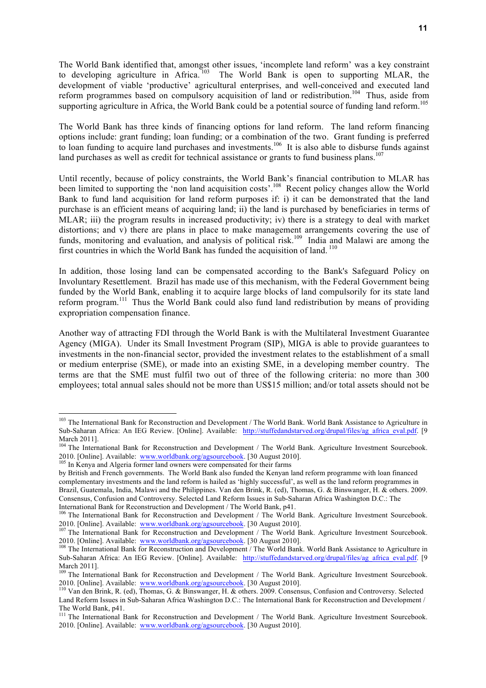The World Bank identified that, amongst other issues, 'incomplete land reform' was a key constraint to developing agriculture in Africa.<sup>103</sup> The World Bank is open to supporting MLAR, the development of viable 'productive' agricultural enterprises, and well-conceived and executed land reform programmes based on compulsory acquisition of land or redistribution.<sup>104</sup> Thus, aside from supporting agriculture in Africa, the World Bank could be a potential source of funding land reform.<sup>105</sup>

The World Bank has three kinds of financing options for land reform. The land reform financing options include: grant funding; loan funding; or a combination of the two. Grant funding is preferred to loan funding to acquire land purchases and investments.<sup>106</sup> It is also able to disburse funds against land purchases as well as credit for technical assistance or grants to fund business plans.<sup>107</sup>

Until recently, because of policy constraints, the World Bank's financial contribution to MLAR has been limited to supporting the 'non land acquisition costs'.<sup>108</sup> Recent policy changes allow the World Bank to fund land acquisition for land reform purposes if: i) it can be demonstrated that the land purchase is an efficient means of acquiring land; ii) the land is purchased by beneficiaries in terms of MLAR; iii) the program results in increased productivity; iv) there is a strategy to deal with market distortions; and v) there are plans in place to make management arrangements covering the use of funds, monitoring and evaluation, and analysis of political risk.<sup>109</sup> India and Malawi are among the first countries in which the World Bank has funded the acquisition of land. <sup>110</sup>

In addition, those losing land can be compensated according to the Bank's Safeguard Policy on Involuntary Resettlement. Brazil has made use of this mechanism, with the Federal Government being funded by the World Bank, enabling it to acquire large blocks of land compulsorily for its state land reform program.111 Thus the World Bank could also fund land redistribution by means of providing expropriation compensation finance.

Another way of attracting FDI through the World Bank is with the Multilateral Investment Guarantee Agency (MIGA). Under its Small Investment Program (SIP), MIGA is able to provide guarantees to investments in the non-financial sector, provided the investment relates to the establishment of a small or medium enterprise (SME), or made into an existing SME, in a developing member country. The terms are that the SME must fulfil two out of three of the following criteria: no more than 300 employees; total annual sales should not be more than US\$15 million; and/or total assets should not be

<sup>&</sup>lt;sup>103</sup> The International Bank for Reconstruction and Development / The World Bank. World Bank Assistance to Agriculture in Sub-Saharan Africa: An IEG Review. [Online]. Available: http://stuffedandstarved.org/drupal/files/ag\_africa\_eval.pdf. [9 March 2011].

<sup>&</sup>lt;sup>104</sup> The International Bank for Reconstruction and Development / The World Bank. Agriculture Investment Sourcebook. 2010. [Online]. Available: www.worldbank.org/agsourcebook. [30 August 2010]. <sup>105</sup> In Kenya and Algeria former land owners were compensated for their farms

by British and French governments. The World Bank also funded the Kenyan land reform programme with loan financed complementary investments and the land reform is hailed as 'highly successful', as well as the land reform programmes in Brazil, Guatemala, India, Malawi and the Philippines. Van den Brink, R. (ed), Thomas, G. & Binswanger, H. & others. 2009. Consensus, Confusion and Controversy. Selected Land Reform Issues in Sub-Saharan Africa Washington D.C.: The International Bank for Reconstruction and Development / The World Bank, p41.

<sup>&</sup>lt;sup>106</sup> The International Bank for Reconstruction and Development / The World Bank. Agriculture Investment Sourcebook.<br>2010. [Online]. Available: www.worldbank.org/agsourcebook. [30 August 2010].

<sup>&</sup>lt;sup>107</sup> The International Bank for Reconstruction and Development / The World Bank. Agriculture Investment Sourcebook. 2010. [Online]. Available: www.worldbank.org/agsourcebook. [30 August 2010].<br><sup>108</sup> The International Bank for Reconstruction and Development / The World Bank. World Bank Assistance to Agriculture in

Sub-Saharan Africa: An IEG Review. [Online]. Available: http://stuffedandstarved.org/drupal/files/ag\_africa\_eval.pdf. [9 March 2011].

<sup>&</sup>lt;sup>109</sup> The International Bank for Reconstruction and Development / The World Bank. Agriculture Investment Sourcebook. 2010. [Online]. Available: www.worldbank.org/agsourcebook. [30 August 2010].<br><sup>110</sup> Van den Brink, R. (ed), Thomas, G. & Binswanger, H. & others. 2009. Consensus, Confusion and Controversy. Selected

Land Reform Issues in Sub-Saharan Africa Washington D.C.: The International Bank for Reconstruction and Development / The World Bank, p41.

<sup>&</sup>lt;sup>111</sup> The International Bank for Reconstruction and Development / The World Bank. Agriculture Investment Sourcebook. 2010. [Online]. Available: www.worldbank.org/agsourcebook. [30 August 2010].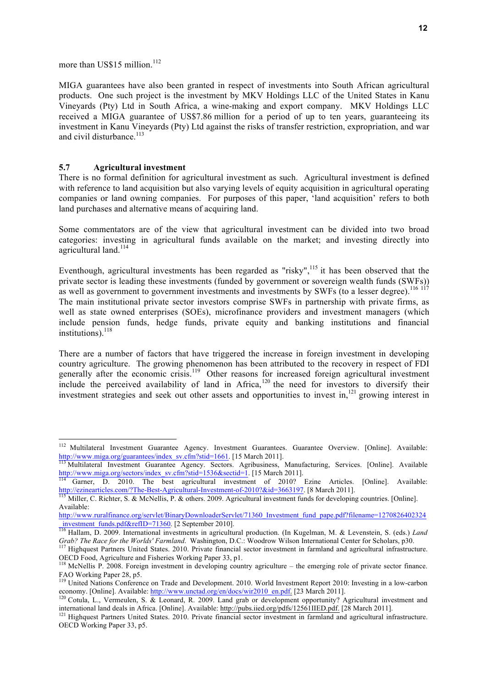more than US\$15 million.<sup>112</sup>

MIGA guarantees have also been granted in respect of investments into South African agricultural products. One such project is the investment by MKV Holdings LLC of the United States in Kanu Vineyards (Pty) Ltd in South Africa, a wine-making and export company. MKV Holdings LLC received a MIGA guarantee of US\$7.86 million for a period of up to ten years, guaranteeing its investment in Kanu Vineyards (Pty) Ltd against the risks of transfer restriction, expropriation, and war and civil disturbance.<sup>113</sup>

#### **5.7 Agricultural investment**

There is no formal definition for agricultural investment as such. Agricultural investment is defined with reference to land acquisition but also varying levels of equity acquisition in agricultural operating companies or land owning companies. For purposes of this paper, 'land acquisition' refers to both land purchases and alternative means of acquiring land.

Some commentators are of the view that agricultural investment can be divided into two broad categories: investing in agricultural funds available on the market; and investing directly into agricultural land.<sup>114</sup>

Eventhough, agricultural investments has been regarded as "risky",<sup>115</sup> it has been observed that the private sector is leading these investments (funded by government or sovereign wealth funds (SWFs)) as well as government to government investments and investments by SWFs (to a lesser degree).<sup>116 117</sup> The main institutional private sector investors comprise SWFs in partnership with private firms, as well as state owned enterprises (SOEs), microfinance providers and investment managers (which include pension funds, hedge funds, private equity and banking institutions and financial institutions).<sup>118</sup>

There are a number of factors that have triggered the increase in foreign investment in developing country agriculture. The growing phenomenon has been attributed to the recovery in respect of FDI generally after the economic crisis.<sup>119</sup> Other reasons for increased foreign agricultural investment include the perceived availability of land in Africa, $120$  the need for investors to diversify their investment strategies and seek out other assets and opportunities to invest in,<sup>121</sup> growing interest in

<sup>&</sup>lt;sup>112</sup> Multilateral Investment Guarantee Agency. Investment Guarantees. Guarantee Overview. [Online]. Available:<br>  $\frac{http://www.miga.org/guarantees/index_sv.cfm?stid=1661}{115 March 2011}.$ http://www.miga.org/guarantees/index\_sv.cfm?stid=1661. [15 March 2011].<br><sup>113</sup> Multilateral Investment Guarantee Agency. Sectors. Agribusiness, Manufacturing, Services. [Online]. Available

http://www.miga.org/sectors/index\_sv.cfm?stid=1536&sectid=1. [15 March 2011].<br><sup>114</sup> Garner, D. 2010. The best agricultural investment of 2010? Ezine Articles. [Online]. Available:

http://ezinearticles.com/?The-Best-Agricultural-Investment-of-2010?&id=3663197. [8 March 2011].<br><sup>115</sup> Miller, C. Richter, S. & McNellis, P. & others. 2009. Agricultural investment funds for developing countries. [Online].

Available:

http://www.ruralfinance.org/servlet/BinaryDownloaderServlet/71360\_Investment\_fund\_pape.pdf?filename=1270826402324\_investment\_funds.pdf&refID=71360. [2 September 2010].

\_investment\_funds.pdf&refID=71360. [2 September 2010]. <sup>116</sup> Hallam, D. 2009. International investments in agricultural production. (In Kugelman, M. & Levenstein, S. (eds.) *Land*  Grab? The Race for the Worlds' Farmland. Washington, D.C.: Woodrow Wilson International Center for Scholars, p30.<br><sup>117</sup> Highquest Partners United States. 2010. Private financial sector investment in farmland and agricultur

OECD Food, Agriculture and Fisheries Working Paper 33, p1.

<sup>&</sup>lt;sup>118</sup> McNellis P. 2008. Foreign investment in developing country agriculture – the emerging role of private sector finance. FAO Working Paper 28, p5.

<sup>&</sup>lt;sup>119</sup> United Nations Conference on Trade and Development. 2010. World Investment Report 2010: Investing in a low-carbon economy. [Online]. Available: http://www.unctad.org/en/docs/wir2010\_en.pdf. [23 March 2011].<br><sup>120</sup> Cotula, L., Vermeulen, S. & Leonard, R. 2009. Land grab or development opportunity? Agricultural investment and

international land deals in Africa. [Online]. Available: http://pubs.iied.org/pdfs/12561IIED.pdf. [28 March 2011].<br><sup>121</sup> Highquest Partners United States. 2010. Private financial sector investment in farmland and agricultu

OECD Working Paper 33, p5.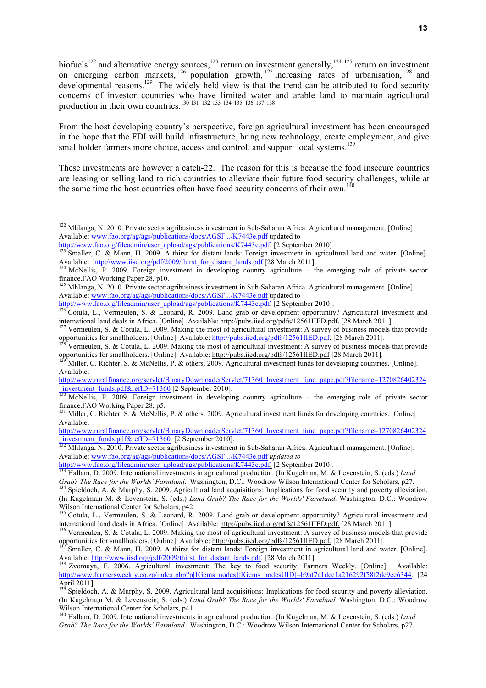biofuels<sup>122</sup> and alternative energy sources,<sup>123</sup> return on investment generally,<sup>124 125</sup> return on investment on emerging carbon markets,  $^{126}$  population growth,  $^{127}$  increasing rates of urbanisation,  $^{128}$  and developmental reasons.<sup>129</sup> The widely held view is that the trend can be attributed to food security concerns of investor countries who have limited water and arable land to maintain agricultural production in their own countries.<sup>130 131</sup> <sup>132</sup> <sup>133</sup> <sup>134</sup> <sup>135</sup> <sup>136</sup> <sup>137</sup> <sup>138</sup>

From the host developing country's perspective, foreign agricultural investment has been encouraged in the hope that the FDI will build infrastructure, bring new technology, create employment, and give smallholder farmers more choice, access and control, and support local systems.<sup>139</sup>

These investments are however a catch-22. The reason for this is because the food insecure countries are leasing or selling land to rich countries to alleviate their future food security challenges, while at the same time the host countries often have food security concerns of their own.<sup>140</sup>

 $\frac{1008 \text{cm} \text{cm}}{132 \text{Mhlanga}}$ , N. 2010. Private sector agribusiness investment in Sub-Saharan Africa. Agricultural management. [Online]. Available: www.fao.org/ag/ags/publications/docs/AGSF.../K7443e.pdf *updated to* 

<sup>&</sup>lt;sup>122</sup> Mhlanga, N. 2010. Private sector agribusiness investment in Sub-Saharan Africa. Agricultural management. [Online]. Available: www.fao.org/ag/ags/publications/docs/AGSF.../K7443e.pdf updated to<br>http://www.fao.org/fileadmin/user\_upload/ags/publications/K7443e.pdf. [2 September 2010].

<sup>&</sup>lt;sup>123</sup> Smaller, C. & Mann, H. 2009. A thirst for distant lands: Foreign investment in agricultural land and water. [Online]. Available: http://www.iisd.org/pdf/2009/thirst for distant lands.pdf [28 March 2011].

<sup>&</sup>lt;sup>124</sup> McNellis, P. 2009. Foreign investment in developing country agriculture – the emerging role of private sector finance.FAO Working Paper 28, p10.<br><sup>125</sup> Mhlanga, N. 2010. Private sector agribusiness investment in Sub-Saharan Africa. Agricultural management. [Online].

Available: www.fao.org/ag/ags/publications/docs/AGSF.../K7443e.pdf updated to

http://www.fao.org/fileadmin/user\_upload/ags/publications/K7443e.pdf. [2 September 2010].<br><sup>126</sup> Cotula, L., Vermeulen, S. & Leonard, R. 2009. Land grab or development opportunity? Agricultural investment and

international land deals in Africa. [Online]. Available: http://pubs.iied.org/pdfs/12561IIED.pdf. [28 March 2011].<br><sup>127</sup> Vermeulen, S. & Cotula, L. 2009. Making the most of agricultural investment: A survey of business mod

opportunities for smallholders. [Online]. Available: http://pubs.iied.org/pdfs/12561IIED.pdf. [28 March 2011].<br><sup>128</sup> Vermeulen, S. & Cotula, L. 2009. Making the most of agricultural investment: A survey of business models

or manufacture of the manufacture of the theorem. The substitution of the two states induces that provide the<br>
<sup>129</sup> Miller, C. Richter, S. & McNellis, P. & others. 2009. Agricultural investment funds for developing countr

Available:

http://www.ruralfinance.org/servlet/BinaryDownloaderServlet/71360\_Investment\_fund\_pape.pdf?filename=1270826402324<br>investment\_funds.pdf&refID=71360 [2 September 2010].

<sup>&</sup>lt;sup>130</sup> McNellis, P. 2009. Foreign investment in developing country agriculture – the emerging role of private sector finance.FAO Working Paper 28, p5.<br><sup>131</sup> Miller, C. Richter, S. & McNellis, P. & others. 2009. Agricultural investment funds for developing countries. [Online].

Available:

http://www.ruralfinance.org/servlet/BinaryDownloaderServlet/71360\_Investment\_fund\_pape.pdf?filename=1270826402324\_investment\_funds.pdf&refID=71360. [2 September 2010].

http://www.fao.org/fileadmin/user\_upload/ags/publications/K7443e.pdf. [2 September 2010].<br><sup>133</sup> Hallam, D. 2009. International investments in agricultural production. (In Kugelman, M. & Levenstein, S. (eds.) *Land* Grab? The Race for the Worlds' Farmland. Washington, D.C.: Woodrow Wilson International Center for Scholars, p27.<br><sup>134</sup> Spieldoch, A. & Murphy, S. 2009. Agricultural land acquisitions: Implications for food security and po

<sup>(</sup>In Kugelma,n M. & Levenstein, S. (eds.) *Land Grab? The Race for the Worlds' Farmland.* Washington, D.C.: Woodrow

Wilson International Center for Scholars, p42.<br><sup>135</sup> Cotula, L., Vermeulen, S. & Leonard, R. 2009. Land grab or development opportunity? Agricultural investment and<br>international land deals in Africa. [Online]. Available:

<sup>&</sup>lt;sup>136</sup> Vermeulen, S. & Cotula, L. 2009. Making the most of agricultural investment: A survey of business models that provide

or mallholders. [Online]. Available: http://pubs.iied.org/pdfs/12561IIED.pdf. [28 March 2011].<br><sup>137</sup> Smaller, C. & Mann, H. 2009. A thirst for distant lands: Foreign investment in agricultural land and water. [Online].<br>Ava

<sup>&</sup>lt;sup>138</sup> Zvomuya, F. 2006. Agricultural investment: The key to food security. Farmers Weekly. [Online]. Available: http://www.farmersweekly.co.za/index.php?p[IGcms\_nodes][IGcms\_nodesUID]=b9af7a1dcc1a216292f58f2de9ce6344. [24 April 2011].

<sup>139</sup> Spieldoch, A. & Murphy, S. 2009. Agricultural land acquisitions: Implications for food security and poverty alleviation. (In Kugelma,n M. & Levenstein, S. (eds.) *Land Grab? The Race for the Worlds' Farmland.* Washington, D.C.: Woodrow

<sup>&</sup>lt;sup>140</sup> Hallam, D. 2009. International investments in agricultural production. (In Kugelman, M. & Levenstein, S. (eds.) *Land Grab? The Race for the Worlds' Farmland*. Washington, D.C.: Woodrow Wilson International Center for Scholars, p27.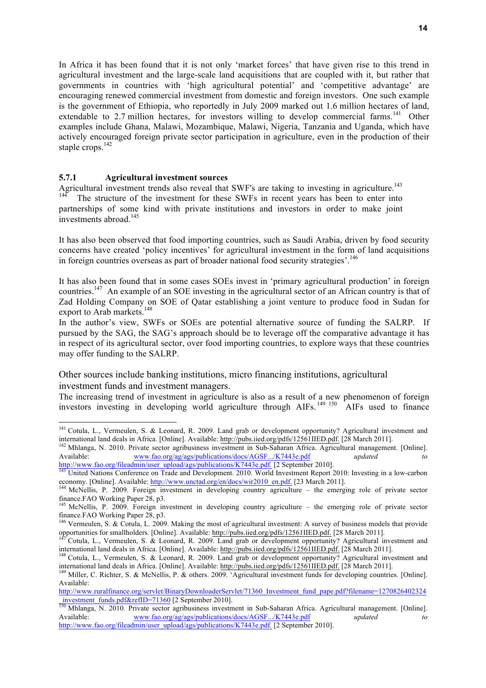In Africa it has been found that it is not only 'market forces' that have given rise to this trend in agricultural investment and the large-scale land acquisitions that are coupled with it, but rather that governments in countries with 'high agricultural potential' and 'competitive advantage' are encouraging renewed commercial investment from domestic and foreign investors. One such example is the government of Ethiopia, who reportedly in July 2009 marked out 1.6 million hectares of land, extendable to 2.7 million hectares, for investors willing to develop commercial farms.<sup>141</sup> Other examples include Ghana, Malawi, Mozambique, Malawi, Nigeria, Tanzania and Uganda, which have actively encouraged foreign private sector participation in agriculture, even in the production of their staple crops.<sup>142</sup>

#### **5.7.1 Agricultural investment sources**

Agricultural investment trends also reveal that SWF's are taking to investing in agriculture.<sup>143</sup> The structure of the investment for these SWFs in recent years has been to enter into partnerships of some kind with private institutions and investors in order to make joint investments abroad  $145$ 

It has also been observed that food importing countries, such as Saudi Arabia, driven by food security concerns have created 'policy incentives' for agricultural investment in the form of land acquisitions in foreign countries overseas as part of broader national food security strategies'.<sup>146</sup>

It has also been found that in some cases SOEs invest in 'primary agricultural production' in foreign countries.<sup>147</sup> An example of an SOE investing in the agricultural sector of an African country is that of Zad Holding Company on SOE of Qatar establishing a joint venture to produce food in Sudan for export to Arab markets.<sup>148</sup>

In the author's view, SWFs or SOEs are potential alternative source of funding the SALRP. If pursued by the SAG, the SAG's approach should be to leverage off the comparative advantage it has in respect of its agricultural sector, over food importing countries, to explore ways that these countries may offer funding to the SALRP.

Other sources include banking institutions, micro financing institutions, agricultural investment funds and investment managers.

The increasing trend of investment in agriculture is also as a result of a new phenomenon of foreign investors investing in developing world agriculture through AIFs.<sup>149 150</sup> AIFs used to finance

<sup>&</sup>lt;sup>141</sup> Cotula, L., Vermeulen, S. & Leonard, R. 2009. Land grab or development opportunity? Agricultural investment and international land deals in Africa. [Online]. Available: http://pubs.iied.org/pdfs/12561IIED.pdf. [28 March 2011].<br><sup>142</sup> Mhlanga, N. 2010. Private sector agribusiness investment in Sub-Saharan Africa. Agricultural manageme

Available: www.fao.org/ag/ags/publications/docs/AGSF.../K7443e.pdf *updated to* 

http://www.fao.org/fileadmin/user\_upload/ags/publications/K7443e.pdf. [2 September 2010].<br><sup>143</sup> United Nations Conference on Trade and Development. 2010. World Investment Report 2010: Investing in a low-carbon economy. [Online]. Available: http://www.unctad.org/en/docs/wir2010\_en.pdf. [23 March 2011]. 144 McNellis, P. 2009. Foreign investment in developing country agriculture – the emerging role of private sector

finance.FAO Working Paper 28, p3.

<sup>&</sup>lt;sup>145</sup> McNellis, P. 2009. Foreign investment in developing country agriculture – the emerging role of private sector finance.FAO Working Paper 28, p3.

<sup>&</sup>lt;sup>146</sup> Vermeulen, S. & Cotula, L. 2009. Making the most of agricultural investment: A survey of business models that provide

opportunities for smallholders. [Online]. Available: http://pubs.iied.org/pdfs/12561IIED.pdf. [28 March 2011].<br><sup>147</sup> Cotula, L., Vermeulen, S. & Leonard, R. 2009. Land grab or development opportunity? Agricultural investme

<sup>&</sup>lt;sup>148</sup> Cotula, L., Vermeulen, S. & Leonard, R. 2009. Land grab or development opportunity? Agricultural investment and international land deals in Africa. [Online]. Available: http://pubs.iied.org/pdfs/12561IIED.pdf. [28 March 2011].<br><sup>149</sup> Miller, C. Richter, S. & McNellis, P. & others. 2009. 'Agricultural investment funds for developing c

Available:

http://www.ruralfinance.org/servlet/BinaryDownloaderServlet/71360\_Investment\_fund\_pape.pdf?filename=1270826402324 mvestment funds.pdf&refID=71360 [2 September 2010].<br><sup>150</sup> Mhlanga, N. 2010. Private sector agribusiness investment in Sub-Saharan Africa. Agricultural management. [Online].

Available: www.fao.org/ag/ags/publications/docs/AGSF.../K7443e.pdf *updated to* 

http://www.fao.org/fileadmin/user\_upload/ags/publications/K7443e.pdf*.* [2 September 2010].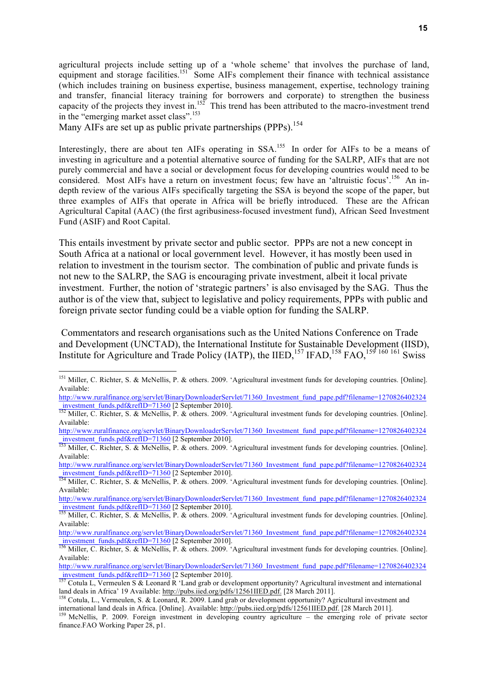agricultural projects include setting up of a 'whole scheme' that involves the purchase of land, equipment and storage facilities.<sup>151</sup> Some AIFs complement their finance with technical assistance (which includes training on business expertise, business management, expertise, technology training and transfer, financial literacy training for borrowers and corporate) to strengthen the business capacity of the projects they invest in.<sup>152</sup> This trend has been attributed to the macro-investment trend in the "emerging market asset class".<sup>153</sup>

Many AIFs are set up as public private partnerships (PPPs).<sup>154</sup>

Interestingly, there are about ten AIFs operating in SSA.<sup>155</sup> In order for AIFs to be a means of investing in agriculture and a potential alternative source of funding for the SALRP, AIFs that are not purely commercial and have a social or development focus for developing countries would need to be considered. Most AIFs have a return on investment focus; few have an 'altruistic focus'.<sup>156</sup> An indepth review of the various AIFs specifically targeting the SSA is beyond the scope of the paper, but three examples of AIFs that operate in Africa will be briefly introduced. These are the African Agricultural Capital (AAC) (the first agribusiness-focused investment fund), African Seed Investment Fund (ASIF) and Root Capital.

This entails investment by private sector and public sector. PPPs are not a new concept in South Africa at a national or local government level. However, it has mostly been used in relation to investment in the tourism sector. The combination of public and private funds is not new to the SALRP, the SAG is encouraging private investment, albeit it local private investment. Further, the notion of 'strategic partners' is also envisaged by the SAG. Thus the author is of the view that, subject to legislative and policy requirements, PPPs with public and foreign private sector funding could be a viable option for funding the SALRP.

Commentators and research organisations such as the United Nations Conference on Trade and Development (UNCTAD), the International Institute for Sustainable Development (IISD), Institute for Agriculture and Trade Policy (IATP), the IIED,  $^{157}$  IFAD,  $^{158}$  FAO,  $^{159}$  160 161 Swiss

<sup>&</sup>lt;sup>151</sup> Miller, C. Richter, S. & McNellis, P. & others. 2009. 'Agricultural investment funds for developing countries. [Online]. Available:

http://www.ruralfinance.org/servlet/BinaryDownloaderServlet/71360\_Investment\_fund\_pape.pdf?filename=1270826402324\_<br>investment\_funds.pdf&refID=71360 [2 September 2010].<br><sup>152</sup> Miller C. Biskter, S. & Miller U. S. S. A. Mille

Miller, C. Richter, S. & McNellis, P. & others. 2009. 'Agricultural investment funds for developing countries. [Online]. Available:

http://www.ruralfinance.org/servlet/BinaryDownloaderServlet/71360\_Investment\_fund\_pape.pdf?filename=1270826402324

mustment funds.pdf&refID=71360 [2 September 2010].<br><sup>153</sup> Miller, C. Richter, S. & McNellis, P. & others. 2009. 'Agricultural investment funds for developing countries. [Online]. Available:

http://www.ruralfinance.org/servlet/BinaryDownloaderServlet/71360\_Investment\_fund\_pape.pdf?filename=1270826402324

\_investment\_funds.pdf&refID=71360 [2 September 2010]. <sup>154</sup> Miller, C. Richter, S. & McNellis, P. & others. 2009. 'Agricultural investment funds for developing countries. [Online]. Available:

http://www.ruralfinance.org/servlet/BinaryDownloaderServlet/71360\_Investment\_fund\_pape.pdf?filename=1270826402324

\_investment\_funds.pdf&refID=71360 [2 September 2010]. <sup>155</sup> Miller, C. Richter, S. & McNellis, P. & others. 2009. 'Agricultural investment funds for developing countries. [Online]. Available:

http://www.ruralfinance.org/servlet/BinaryDownloaderServlet/71360\_Investment\_fund\_pape.pdf?filename=1270826402324 Investment\_funds.pdf&refID=71360 [2 September 2010].<br>
<sup>156</sup> Miller, C. Richter, S. & McNellis, P. & others. 2009. 'Agricultural investment funds for developing countries. [Online].

Available:

http://www.ruralfinance.org/servlet/BinaryDownloaderServlet/71360\_Investment\_fund\_pape.pdf?filename=1270826402324\_<br>investment\_funds.pdf&refID=71360 [2 September 2010].

Cotula L, Vermeulen S & Leonard R 'Land grab or development opportunity? Agricultural investment and international land deals in Africa' 19 Available: http://pubs.iied.org/pdfs/12561IIED.pdf. [28 March 2011].<br><sup>158</sup> Cotula, L., Vermeulen, S. & Leonard, R. 2009. Land grab or development opportunity? Agricultural investment and

international land deals in Africa. [Online]. Available:  $\frac{http://pubs.iied.org/pdfs/12561IED.pdf}{http://pubs.iied.org/pdfs/12561IED.pdf}.$  [28 March 2011].

finance.FAO Working Paper 28, p1.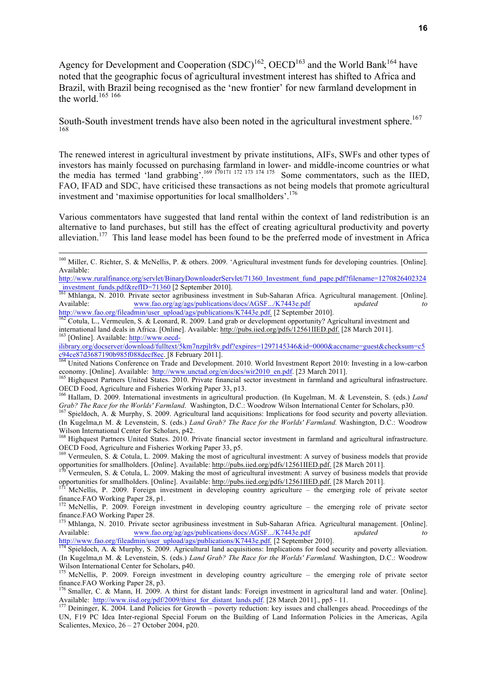Agency for Development and Cooperation  $(SDC)^{162}$ , OECD<sup>163</sup> and the World Bank<sup>164</sup> have noted that the geographic focus of agricultural investment interest has shifted to Africa and Brazil, with Brazil being recognised as the 'new frontier' for new farmland development in the world.<sup>165</sup> 166

South-South investment trends have also been noted in the agricultural investment sphere.<sup>167</sup> 168

The renewed interest in agricultural investment by private institutions, AIFs, SWFs and other types of investors has mainly focussed on purchasing farmland in lower- and middle-income countries or what the media has termed 'land grabbing'.<sup>169 170171 172 173 174 175</sup> Some commentators, such as the IIED, FAO, IFAD and SDC, have criticised these transactions as not being models that promote agricultural investment and 'maximise opportunities for local smallholders'.<sup>176</sup>

Various commentators have suggested that land rental within the context of land redistribution is an alternative to land purchases, but still has the effect of creating agricultural productivity and poverty alleviation.<sup>177</sup> This land lease model has been found to be the preferred mode of investment in Africa

ilibrary.org/docserver/download/fulltext/5km7nzpjlr8v.pdf?expires=1297145346&id=0000&accname=guest&checksum=c5 c94ce87d3687190b985f088decf8ec. [8 February 2011]. <sup>164</sup> United Nations Conference on Trade and Development. 2010. World Investment Report 2010: Investing in a low-carbon

<sup>!!!!!!!!!!!!!!!!!!!!!!!!!!!!!!!!!!!!!!!!!!!!!!!!!!!!!!!!!!!!!!!!!!!!!!!!!!!!!!!!!!!!!!!!!!!!!!!!!!!!!!!!!!!!!!!!!!!!!!!!!!!!!!!!!!!!!!!!!!!!!!!!!!!!!!!!!!!!!!!!!!!!!!!!!!!</sup> <sup>160</sup> Miller, C. Richter, S. & McNellis, P. & others. 2009. 'Agricultural investment funds for developing countries. [Online]. Available:

http://www.ruralfinance.org/servlet/BinaryDownloaderServlet/71360\_Investment\_fund\_pape.pdf?filename=1270826402324<br>investment\_funds.pdf&refID=71360 [2 September 2010].

 $\frac{10083 \text{m} \cdot \text{m}}{161 \text{ Mhlanga}}$ , N. 2010. Private sector agribusiness investment in Sub-Saharan Africa. Agricultural management. [Online]. Available: www.fao.org/ag/ags/publications/docs/AGSF.../K7443e.pdf *updated to to* http://www.fao.org/fileadmin/user\_upload/ags/publications/K7443e.pdf. [2 September 2010].<br><sup>162</sup> Cotula, L., Vermeulen, S. & Leonard, R. 2009. Land grab or development opportunity? Agricultural investment and

international land deals in Africa. [Online]. Available: http://pubs.iied.org/pdfs/12561IIED.pdf. [28 March 2011].<br><sup>163</sup> [Online]. Available: http://www.oecd-

economy. [Online]. Available: http://www.unctad.org/en/docs/wir2010\_en.pdf. [23 March 2011].<br><sup>165</sup> Highquest Partners United States. 2010. Private financial sector investment in farmland and agricultural infrastructure.

OECD Food, Agriculture and Fisheries Working Paper 33, p13.

<sup>166</sup> Hallam, D. 2009. International investments in agricultural production. (In Kugelman, M. & Levenstein, S. (eds.) *Land*  Grab? The Race for the Worlds' Farmland. Washington, D.C.: Woodrow Wilson International Center for Scholars, p30.<br><sup>167</sup> Spieldoch, A. & Murphy, S. 2009. Agricultural land acquisitions: Implications for food security and po

<sup>(</sup>In Kugelma,n M. & Levenstein, S. (eds.) *Land Grab? The Race for the Worlds' Farmland.* Washington, D.C.: Woodrow Wilson International Center for Scholars, p42.<br><sup>168</sup> Highquest Partners United States. 2010. Private financial sector investment in farmland and agricultural infrastructure.

OECD Food, Agriculture and Fisheries Working Paper 33, p5.<br><sup>169</sup> Vermeulen, S. & Cotula, L. 2009. Making the most of agricultural investment: A survey of business models that provide

opportunities for smallholders. [Online]. Available: http://pubs.iied.org/pdfs/12561IIED.pdf. [28 March 2011].<br><sup>170</sup> Vermeulen. S. & Cotula. L. 2009. Making the most of agricultural investment: A survey of business models

opportunities for smallholders. [Online]. Available: http://pubs.iied.org/pdfs/12561IIED.pdf. [28 March 2011].<br><sup>171</sup> McNellis, P. 2009. Foreign investment in developing country agriculture – the emerging role of private se

finance.FAO Working Paper 28, p1. <sup>172</sup> McNellis, P. 2009. Foreign investment in developing country agriculture – the emerging role of private sector

finance.FAO Working Paper 28.<br><sup>173</sup> Mhlanga, N. 2010. Private sector agribusiness investment in Sub-Saharan Africa. Agricultural management. [Online].

Available: www.fao.org/ag/ags/publications/docs/AGSF.../K7443e.pdf *updated to*<br>http://www.fao.org/fileadmin/user\_upload/ags/publications/K7443e.pdf. [2 September 2010].

Spieldoch, A. & Murphy, S. 2009. Agricultural land acquisitions: Implications for food security and poverty alleviation.

<sup>(</sup>In Kugelma,n M. & Levenstein, S. (eds.) *Land Grab? The Race for the Worlds' Farmland.* Washington, D.C.: Woodrow Wilson International Center for Scholars, p40.<br><sup>175</sup> McNellis, P. 2009. Foreign investment in developing country agriculture – the emerging role of private sector

finance.FAO Working Paper 28, p3.

<sup>&</sup>lt;sup>176</sup> Smaller, C. & Mann, H. 2009. A thirst for distant lands: Foreign investment in agricultural land and water. [Online]. Available: http://www.iisd.org/pdf/2009/thirst\_for\_distant\_lands.pdf. [28 March 2011]., pp5 - 11.<br><sup>177</sup> Deininger, K. 2004. Land Policies for Growth – poverty reduction: key issues and challenges ahead. Proceedings of the

UN, F19 PC Idea Inter-regional Special Forum on the Building of Land Information Policies in the Americas, Agila Scalientes, Mexico, 26 – 27 October 2004, p20.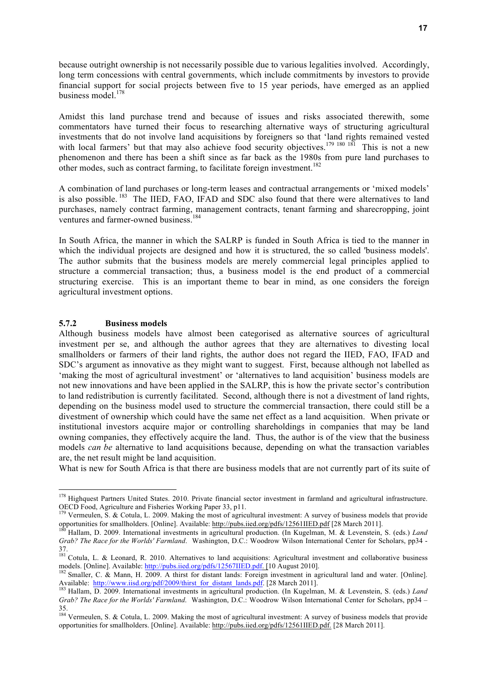because outright ownership is not necessarily possible due to various legalities involved. Accordingly, long term concessions with central governments, which include commitments by investors to provide financial support for social projects between five to 15 year periods, have emerged as an applied business model.<sup>178</sup>

Amidst this land purchase trend and because of issues and risks associated therewith, some commentators have turned their focus to researching alternative ways of structuring agricultural investments that do not involve land acquisitions by foreigners so that 'land rights remained vested with local farmers' but that may also achieve food security objectives.<sup>179 180 181</sup> This is not a new phenomenon and there has been a shift since as far back as the 1980s from pure land purchases to other modes, such as contract farming, to facilitate foreign investment.<sup>182</sup>

A combination of land purchases or long-term leases and contractual arrangements or 'mixed models' is also possible.<sup>183</sup> The IIED, FAO, IFAD and SDC also found that there were alternatives to land purchases, namely contract farming, management contracts, tenant farming and sharecropping, joint ventures and farmer-owned business.<sup>184</sup>

In South Africa, the manner in which the SALRP is funded in South Africa is tied to the manner in which the individual projects are designed and how it is structured, the so called 'business models'. The author submits that the business models are merely commercial legal principles applied to structure a commercial transaction; thus, a business model is the end product of a commercial structuring exercise. This is an important theme to bear in mind, as one considers the foreign agricultural investment options.

#### **5.7.2 Business models**

Although business models have almost been categorised as alternative sources of agricultural investment per se, and although the author agrees that they are alternatives to divesting local smallholders or farmers of their land rights, the author does not regard the IIED, FAO, IFAD and SDC's argument as innovative as they might want to suggest. First, because although not labelled as 'making the most of agricultural investment' or 'alternatives to land acquisition' business models are not new innovations and have been applied in the SALRP, this is how the private sector's contribution to land redistribution is currently facilitated. Second, although there is not a divestment of land rights, depending on the business model used to structure the commercial transaction, there could still be a divestment of ownership which could have the same net effect as a land acquisition. When private or institutional investors acquire major or controlling shareholdings in companies that may be land owning companies, they effectively acquire the land. Thus, the author is of the view that the business models *can be* alternative to land acquisitions because, depending on what the transaction variables are, the net result might be land acquisition.

What is new for South Africa is that there are business models that are not currently part of its suite of

<sup>&</sup>lt;sup>178</sup> Highquest Partners United States. 2010. Private financial sector investment in farmland and agricultural infrastructure.

OECD Food, Agriculture and Fisheries Working Paper 33, p11.<br><sup>179</sup> Vermeulen, S. & Cotula, L. 2009. Making the most of agricultural investment: A survey of business models that provide<br>opportunities for smallholders. [Onlin

Hallam, D. 2009. International investments in agricultural production. (In Kugelman, M. & Levenstein, S. (eds.) Land *Grab? The Race for the Worlds' Farmland*. Washington, D.C.: Woodrow Wilson International Center for Scholars, pp34 - 37.

 $181$  Cotula, L. & Leonard, R. 2010. Alternatives to land acquisitions: Agricultural investment and collaborative business models. [Online]. Available: http://pubs.iied.org/pdfs/12567IIED.pdf. [10 August 2010].<br><sup>182</sup> Smaller, C. & Mann, H. 2009. A thirst for distant lands: Foreign investment in agricultural land and water. [Online].

Available: http://www.iisd.org/pdf/2009/thirst\_for\_distant\_lands.pdf. [28 March 2011].<br><sup>183</sup> Hallam, D. 2009. International investments in agricultural production. (In Kugelman, M. & Levenstein, S. (eds.) *Land* <sup>183</sup>

*Grab? The Race for the Worlds' Farmland*. Washington, D.C.: Woodrow Wilson International Center for Scholars, pp34 – 35.

<sup>&</sup>lt;sup>184</sup> Vermeulen, S. & Cotula, L. 2009. Making the most of agricultural investment: A survey of business models that provide opportunities for smallholders. [Online]. Available: http://pubs.iied.org/pdfs/12561IIED.pdf. [28 March 2011].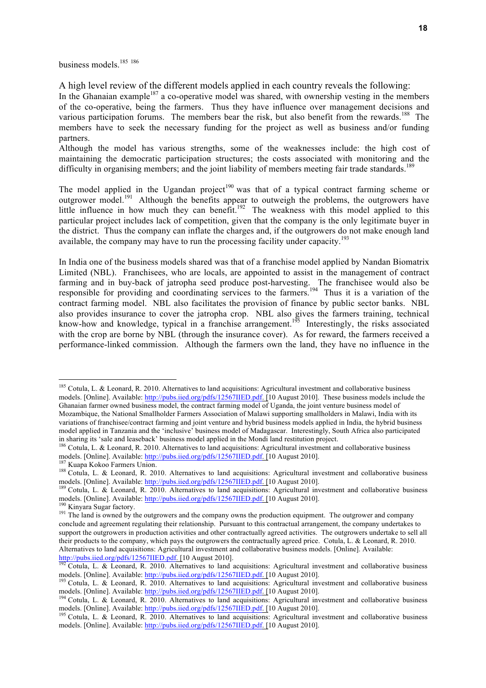business models.<sup>185</sup><sup>186</sup>

A high level review of the different models applied in each country reveals the following:

In the Ghanaian example<sup>187</sup> a co-operative model was shared, with ownership vesting in the members of the co-operative, being the farmers. Thus they have influence over management decisions and various participation forums. The members bear the risk, but also benefit from the rewards.<sup>188</sup> The members have to seek the necessary funding for the project as well as business and/or funding partners.

Although the model has various strengths, some of the weaknesses include: the high cost of maintaining the democratic participation structures; the costs associated with monitoring and the difficulty in organising members; and the joint liability of members meeting fair trade standards.<sup>189</sup>

The model applied in the Ugandan project<sup>190</sup> was that of a typical contract farming scheme or outgrower model.<sup>191</sup> Although the benefits appear to outweigh the problems, the outgrowers have little influence in how much they can benefit.<sup>192</sup> The weakness with this model applied to this particular project includes lack of competition, given that the company is the only legitimate buyer in the district. Thus the company can inflate the charges and, if the outgrowers do not make enough land available, the company may have to run the processing facility under capacity.<sup>193</sup>

In India one of the business models shared was that of a franchise model applied by Nandan Biomatrix Limited (NBL). Franchisees, who are locals, are appointed to assist in the management of contract farming and in buy-back of jatropha seed produce post-harvesting. The franchisee would also be responsible for providing and coordinating services to the farmers.<sup>194</sup> Thus it is a variation of the contract farming model. NBL also facilitates the provision of finance by public sector banks. NBL also provides insurance to cover the jatropha crop. NBL also gives the farmers training, technical know-how and knowledge, typical in a franchise arrangement.<sup>195</sup> Interestingly, the risks associated with the crop are borne by NBL (through the insurance cover). As for reward, the farmers received a performance-linked commission. Although the farmers own the land, they have no influence in the

<sup>&</sup>lt;sup>185</sup> Cotula, L. & Leonard, R. 2010. Alternatives to land acquisitions: Agricultural investment and collaborative business models. [Online]. Available: http://pubs.iied.org/pdfs/12567IIED.pdf. [10 August 2010]. These business models include the Ghanaian farmer owned business model, the contract farming model of Uganda, the joint venture business model of Mozambique, the National Smallholder Farmers Association of Malawi supporting smallholders in Malawi, India with its variations of franchisee/contract farming and joint venture and hybrid business models applied in India, the hybrid business model applied in Tanzania and the 'inclusive' business model of Madagascar. Interestingly, South Africa also participated in sharing its 'sale and leaseback' business model applied in the Mondi land restitution project.

<sup>&</sup>lt;sup>186</sup> Cotula, L. & Leonard, R. 2010. Alternatives to land acquisitions: Agricultural investment and collaborative business models. [Online]. Available: http://pubs.iied.org/pdfs/12567IIED.pdf. [10 August 2010].<br><sup>187</sup> Kuapa Kokoo Farmers Union.<br><sup>188</sup> Cotula, L. & Leonard, R. 2010. Alternatives to land acquisitions: Agricultural investment and c

models. [Online]. Available: http://pubs.iied.org/pdfs/12567IIED.pdf. [10 August 2010].<br><sup>189</sup> Cotula, L. & Leonard, R. 2010. Alternatives to land acquisitions: Agricultural investment and collaborative business<br>models. [On

<sup>&</sup>lt;sup>190</sup> Kinyara Sugar factory.<br><sup>191</sup> The land is owned by the outgrowers and the company owns the production equipment. The outgrower and company conclude and agreement regulating their relationship. Pursuant to this contractual arrangement, the company undertakes to support the outgrowers in production activities and other contractually agreed activities. The outgrowers undertake to sell all their products to the company, which pays the outgrowers the contractually agreed price. Cotula, L. & Leonard, R. 2010. Alternatives to land acquisitions: Agricultural investment and collaborative business models. [Online]. Available:

http://pubs.iied.org/pdfs/12567IIED.pdf. [10 August 2010].<br><sup>192</sup> Cotula, L. & Leonard, R. 2010. Alternatives to land acquisitions: Agricultural investment and collaborative business models. [Online]. Available: http://pubs.iied.org/pdfs/12567IIED.pdf. [10 August 2010].<br><sup>193</sup> Cotula, L. & Leonard, R. 2010. Alternatives to land acquisitions: Agricultural investment and collaborative business

models. [Online]. Available: http://pubs.iied.org/pdfs/12567IIED.pdf. [10 August 2010].<br><sup>194</sup> Cotula, L. & Leonard, R. 2010. Alternatives to land acquisitions: Agricultural investment and collaborative business

models. [Online]. Available: http://pubs.iied.org/pdfs/12567IIED.pdf. [10 August 2010].<br><sup>195</sup> Cotula, L. & Leonard, R. 2010. Alternatives to land acquisitions: Agricultural investment and collaborative business

models. [Online]. Available: http://pubs.iied.org/pdfs/12567IIED.pdf. [10 August 2010].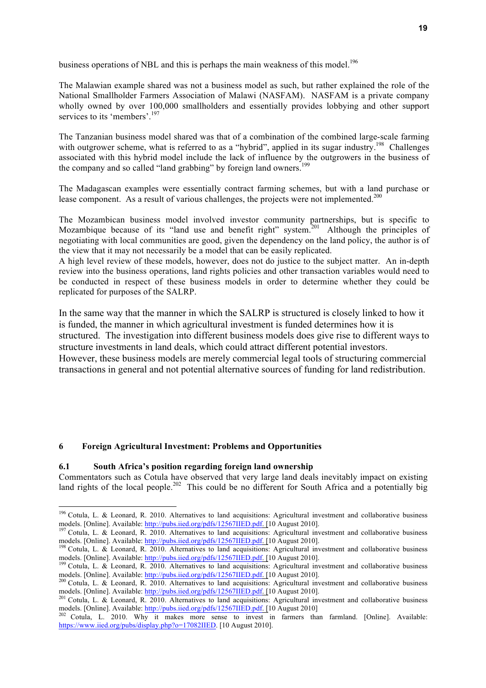business operations of NBL and this is perhaps the main weakness of this model.<sup>196</sup>

The Malawian example shared was not a business model as such, but rather explained the role of the National Smallholder Farmers Association of Malawi (NASFAM). NASFAM is a private company wholly owned by over 100,000 smallholders and essentially provides lobbying and other support services to its 'members'.<sup>197</sup>

The Tanzanian business model shared was that of a combination of the combined large-scale farming with outgrower scheme, what is referred to as a "hybrid", applied in its sugar industry.<sup>198</sup> Challenges associated with this hybrid model include the lack of influence by the outgrowers in the business of the company and so called "land grabbing" by foreign land owners.<sup>199</sup>

The Madagascan examples were essentially contract farming schemes, but with a land purchase or lease component. As a result of various challenges, the projects were not implemented.<sup>200</sup>

The Mozambican business model involved investor community partnerships, but is specific to Mozambique because of its "land use and benefit right" system.<sup>201</sup> Although the principles of negotiating with local communities are good, given the dependency on the land policy, the author is of the view that it may not necessarily be a model that can be easily replicated.

A high level review of these models, however, does not do justice to the subject matter. An in-depth review into the business operations, land rights policies and other transaction variables would need to be conducted in respect of these business models in order to determine whether they could be replicated for purposes of the SALRP.

In the same way that the manner in which the SALRP is structured is closely linked to how it is funded, the manner in which agricultural investment is funded determines how it is structured. The investigation into different business models does give rise to different ways to structure investments in land deals, which could attract different potential investors. However, these business models are merely commercial legal tools of structuring commercial transactions in general and not potential alternative sources of funding for land redistribution.

#### **6 Foreign Agricultural Investment: Problems and Opportunities**

#### **6.1 South Africa's position regarding foreign land ownership**

Commentators such as Cotula have observed that very large land deals inevitably impact on existing land rights of the local people.<sup>202</sup> This could be no different for South Africa and a potentially big

<sup>&</sup>lt;sup>196</sup> Cotula, L. & Leonard, R. 2010. Alternatives to land acquisitions: Agricultural investment and collaborative business models. [Online]. Available: http://pubs.iied.org/pdfs/12567IIED.pdf. [10 August 2010].

<sup>&</sup>lt;sup>197</sup> Cotula, L. & Leonard, R. 2010. Alternatives to land acquisitions: Agricultural investment and collaborative business models. [Online]. Available: http://pubs.iied.org/pdfs/12567IIED.pdf. [10 August 2010].

<sup>&</sup>lt;sup>198</sup> Cotula, L. & Leonard, R. 2010. Alternatives to land acquisitions: Agricultural investment and collaborative business models. [Online]. Available: http://pubs.iied.org/pdfs/12567IIED.pdf. [10 August 2010].<br><sup>199</sup> Cotula, L. & Leonard, R. 2010. Alternatives to land acquisitions: Agricultural investment and collaborative business

models. [Online]. Available: http://pubs.iied.org/pdfs/12567IIED.pdf. [10 August 2010].<br><sup>200</sup> Cotula, L. & Leonard, R. 2010. Alternatives to land acquisitions: Agricultural investment and collaborative business

models. [Online]. Available: http://pubs.iied.org/pdfs/12567IIED.pdf. [10 August 2010].<br><sup>201</sup> Cotula, L. & Leonard, R. 2010. Alternatives to land acquisitions: Agricultural investment and collaborative business

models. [Online]. Available: http://pubs.iied.org/pdfs/12567IIED.pdf. [10 August 2010]<br><sup>202</sup> Cotula, L. 2010. Why it makes more sense to invest in farmers than farmland. [Online]. Available:

https://www.iied.org/pubs/display.php?o=17082IIED. [10 August 2010].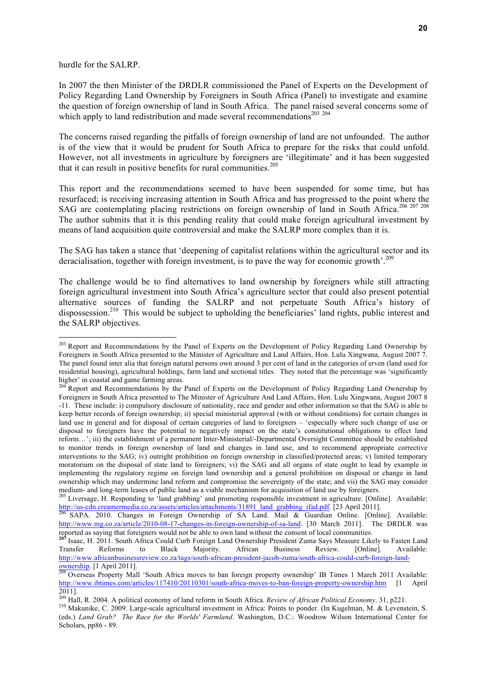hurdle for the SALRP.

!!!!!!!!!!!!!!!!!!!!!!!!!!!!!!!!!!!!!!!!!!!!!!!!!!!!!!!

In 2007 the then Minister of the DRDLR commissioned the Panel of Experts on the Development of Policy Regarding Land Ownership by Foreigners in South Africa (Panel) to investigate and examine the question of foreign ownership of land in South Africa. The panel raised several concerns some of which apply to land redistribution and made several recommendations<sup>203</sup> <sup>204</sup>

The concerns raised regarding the pitfalls of foreign ownership of land are not unfounded. The author is of the view that it would be prudent for South Africa to prepare for the risks that could unfold. However, not all investments in agriculture by foreigners are 'illegitimate' and it has been suggested that it can result in positive benefits for rural communities.<sup>205</sup>

This report and the recommendations seemed to have been suspended for some time, but has resurfaced; is receiving increasing attention in South Africa and has progressed to the point where the SAG are contemplating placing restrictions on foreign ownership of land in South Africa.<sup>206 207 208</sup> The author submits that it is this pending reality that could make foreign agricultural investment by means of land acquisition quite controversial and make the SALRP more complex than it is.

The SAG has taken a stance that 'deepening of capitalist relations within the agricultural sector and its deracialisation, together with foreign investment, is to pave the way for economic growth'.<sup>209</sup>

The challenge would be to find alternatives to land ownership by foreigners while still attracting foreign agricultural investment into South Africa's agriculture sector that could also present potential alternative sources of funding the SALRP and not perpetuate South Africa's history of dispossession.<sup>210</sup> This would be subject to upholding the beneficiaries' land rights, public interest and the SALRP objectives.

<sup>&</sup>lt;sup>203</sup> Report and Recommendations by the Panel of Experts on the Development of Policy Regarding Land Ownership by Foreigners in South Africa presented to the Minister of Agriculture and Land Affairs, Hon. Lulu Xingwana, August 2007 7. The panel found inter alia that foreign natural persons own around 3 per cent of land in the categories of erven (land used for residential housing), agricultural holdings, farm land and sectional titles. They noted that the percentage was 'significantly higher' in coastal and game farming areas.<br><sup>204</sup> Report and Recommendations by the Panel of Experts on the Development of Policy Regarding Land Ownership by

Foreigners in South Africa presented to The Minister of Agriculture And Land Affairs, Hon. Lulu Xingwana, August 2007 8 -11. These include: i) compulsory disclosure of nationality, race and gender and other information so that the SAG is able to keep better records of foreign ownership; ii) special ministerial approval (with or without conditions) for certain changes in land use in general and for disposal of certain categories of land to foreigners – 'especially where such change of use or disposal to foreigners have the potential to negatively impact on the state's constitutional obligations to effect land reform…'; iii) the establishment of a permanent Inter-Ministerial/-Departmental Oversight Committee should be established to monitor trends in foreign ownership of land and changes in land use, and to recommend appropriate corrective interventions to the SAG; iv) outright prohibition on foreign ownership in classified/protected areas; v) limited temporary moratorium on the disposal of state land to foreigners; vi) the SAG and all organs of state ought to lead by example in implementing the regulatory regime on foreign land ownership and a general prohibition on disposal or change in land ownership which may undermine land reform and compromise the sovereignty of the state; and vii) the SAG may consider medium- and long-term leases of public land as a viable mechanism for acquisition of land use by foreigners.<br><sup>205</sup> Liversage, H. Responding to 'land grabbing' and promoting responsible investment in agriculture. [Online].

http://us-cdn.creamermedia.co.za/assets/articles/attachments/31891\_land\_grabbing\_ifad.pdf. [23 April 2011].<br><sup>206</sup> SAPA. 2010. Changes in Foreign Ownership of SA Land. Mail & Guardian Online. [Online]. Available:

http://www.mg.co.za/article/2010-08-17-changes-in-foreign-ownership-of-sa-land. [30 March 2011]. The DRDLR was The DKDLK was<br>reported as saying that foreigners would not be able to own land without the consent of local communities.<br><sup>207</sup> Isaac, H. 2011. South Africa Could Curb Foreign Land Ownership President Zuma Says Measure Like

Transfer Reforms to Black Majority. African Business Review. [Online]. Available: http://www.africanbusinessreview.co.za/tags/south-african-president-jacob-zuma/south-africa-could-curb-foreign-land-

ownership. [1 April 2011].<br><sup>208</sup> Overseas Property Mall 'South Africa moves to ban foreign property ownership' IB Times 1 March 2011 Available: http://www.ibtimes.com/articles/117410/20110301/south-africa-moves-to-ban-foreign-property-ownership.htm [1 April 2011].<br><sup>209</sup> Hall, R. 2004. A political economy of land reform in South Africa. *Review of African Political Economy*. 31, p221.

<sup>&</sup>lt;sup>210</sup> Makunike, C. 2009. Large-scale agricultural investment in Africa: Points to ponder. (In Kugelman, M. & Levenstein, S. (eds.) *Land Grab? The Race for the Worlds' Farmland*. Washington, D.C.: Woodrow Wilson International Center for Scholars, pp86 - 89.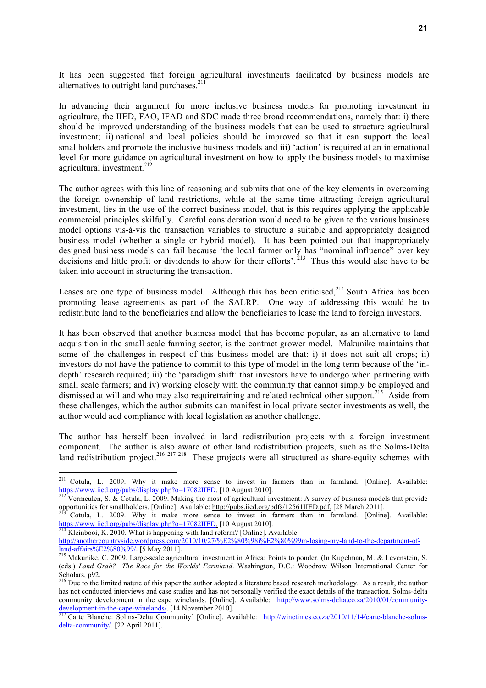It has been suggested that foreign agricultural investments facilitated by business models are alternatives to outright land purchases.<sup>211</sup>

In advancing their argument for more inclusive business models for promoting investment in agriculture, the IIED, FAO, IFAD and SDC made three broad recommendations, namely that: i) there should be improved understanding of the business models that can be used to structure agricultural investment; ii) national and local policies should be improved so that it can support the local smallholders and promote the inclusive business models and iii) 'action' is required at an international level for more guidance on agricultural investment on how to apply the business models to maximise agricultural investment.<sup>212</sup>

The author agrees with this line of reasoning and submits that one of the key elements in overcoming the foreign ownership of land restrictions, while at the same time attracting foreign agricultural investment, lies in the use of the correct business model, that is this requires applying the applicable commercial principles skilfully. Careful consideration would need to be given to the various business model options vis-á-vis the transaction variables to structure a suitable and appropriately designed business model (whether a single or hybrid model). It has been pointed out that inappropriately designed business models can fail because 'the local farmer only has "nominal influence" over key decisions and little profit or dividends to show for their efforts'.<sup>213</sup> Thus this would also have to be taken into account in structuring the transaction.

Leases are one type of business model. Although this has been criticised,  $2^{14}$  South Africa has been promoting lease agreements as part of the SALRP. One way of addressing this would be to redistribute land to the beneficiaries and allow the beneficiaries to lease the land to foreign investors.

It has been observed that another business model that has become popular, as an alternative to land acquisition in the small scale farming sector, is the contract grower model. Makunike maintains that some of the challenges in respect of this business model are that: i) it does not suit all crops; ii) investors do not have the patience to commit to this type of model in the long term because of the 'indepth' research required; iii) the 'paradigm shift' that investors have to undergo when partnering with small scale farmers; and iv) working closely with the community that cannot simply be employed and dismissed at will and who may also requiretraining and related technical other support.<sup>215</sup> Aside from these challenges, which the author submits can manifest in local private sector investments as well, the author would add compliance with local legislation as another challenge.

The author has herself been involved in land redistribution projects with a foreign investment component. The author is also aware of other land redistribution projects, such as the Solms-Delta land redistribution project.<sup>216</sup> <sup>217</sup> <sup>218</sup> These projects were all structured as share-equity schemes with

 $\frac{1}{214}$  Kleinbooi, K. 2010. What is happening with land reform? [Online]. Available:

<sup>&</sup>lt;sup>211</sup> Cotula, L. 2009. Why it make more sense to invest in farmers than in farmland. [Online]. Available: https://www.iied.org/pubs/display.php?o=17082IIED. [10 August 2010].<br><sup>212</sup> Vermeulen, S. & Cotula, L. 2009. Making the most of agricultural investment: A survey of business models that provide

opportunities for smallholders. [Online]. Available: http://pubs.iied.org/pdfs/12561IIED.pdf. [28 March 2011].<br><sup>213</sup> Cotula, L. 2009. Why it make more sense to invest in farmers than in farmland. [Online]. Available:<br>https

http://anothercountryside.wordpress.com/2010/10/27/%E2%80%98i%E2%80%99m-losing-my-land-to-the-department-ofland-affairs%E2%80%99/. [5 May 2011]. <sup>215</sup> Makunike, C. 2009. Large-scale agricultural investment in Africa: Points to ponder. (In Kugelman, M. & Levenstein, S.

<sup>(</sup>eds.) *Land Grab? The Race for the Worlds' Farmland*. Washington, D.C.: Woodrow Wilson International Center for Scholars, p92.

 $^{216}$  Due to the limited nature of this paper the author adopted a literature based research methodology. As a result, the author has not conducted interviews and case studies and has not personally verified the exact details of the transaction. Solms-delta community development in the cape winelands. [Online]. Available: http://www.solms-delta.co.za/2010/01/communitydevelopment-in-the-cape-winelands/. [14 November 2010].<br><sup>217</sup> Carte Blanche: Solms-Delta Community' [Online]. Available: http://winetimes.co.za/2010/11/14/carte-blanche-solms-

delta-community/. [22 April 2011].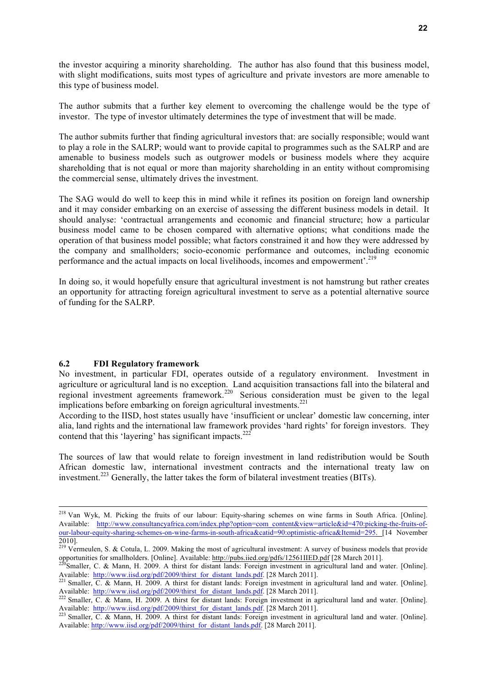the investor acquiring a minority shareholding. The author has also found that this business model, with slight modifications, suits most types of agriculture and private investors are more amenable to this type of business model.

The author submits that a further key element to overcoming the challenge would be the type of investor. The type of investor ultimately determines the type of investment that will be made.

The author submits further that finding agricultural investors that: are socially responsible; would want to play a role in the SALRP; would want to provide capital to programmes such as the SALRP and are amenable to business models such as outgrower models or business models where they acquire shareholding that is not equal or more than majority shareholding in an entity without compromising the commercial sense, ultimately drives the investment.

The SAG would do well to keep this in mind while it refines its position on foreign land ownership and it may consider embarking on an exercise of assessing the different business models in detail. It should analyse: 'contractual arrangements and economic and financial structure; how a particular business model came to be chosen compared with alternative options; what conditions made the operation of that business model possible; what factors constrained it and how they were addressed by the company and smallholders; socio-economic performance and outcomes, including economic performance and the actual impacts on local livelihoods, incomes and empowerment'.219

In doing so, it would hopefully ensure that agricultural investment is not hamstrung but rather creates an opportunity for attracting foreign agricultural investment to serve as a potential alternative source of funding for the SALRP.

#### **6.2 FDI Regulatory framework**

No investment, in particular FDI, operates outside of a regulatory environment. Investment in agriculture or agricultural land is no exception. Land acquisition transactions fall into the bilateral and regional investment agreements framework.<sup>220</sup> Serious consideration must be given to the legal implications before embarking on foreign agricultural investments.<sup>221</sup>

According to the IISD, host states usually have 'insufficient or unclear' domestic law concerning, inter alia, land rights and the international law framework provides 'hard rights' for foreign investors. They contend that this 'layering' has significant impacts.<sup>222</sup>

The sources of law that would relate to foreign investment in land redistribution would be South African domestic law, international investment contracts and the international treaty law on investment.<sup>223</sup> Generally, the latter takes the form of bilateral investment treaties (BITs).

<sup>&</sup>lt;sup>218</sup> Van Wyk, M. Picking the fruits of our labour: Equity-sharing schemes on wine farms in South Africa. [Online]. Available: http://www.consultancyafrica.com/index.php?option=com\_content&view=article&id=470:picking-the-fruits-ofour-labour-equity-sharing-schemes-on-wine-farms-in-south-africa&catid=90:optimistic-africa&Itemid=295. [14 November 2010].

<sup>&</sup>lt;sup>219</sup> Vermeulen, S. & Cotula, L. 2009. Making the most of agricultural investment: A survey of business models that provide opportunities for smallholders. [Online]. Available: http://pubs.iied.org/pdfs/12561IIED.pdf [28 March 2011].<br><sup>220</sup>Smaller, C. & Mann, H. 2009. A thirst for distant lands: Foreign investment in agricultural land and water.

Available: http://www.iisd.org/pdf/2009/thirst\_for\_distant\_lands.pdf. [28 March 2011].<br><sup>221</sup> Smaller, C. & Mann, H. 2009. A thirst for distant lands: Foreign investment in agricultural land and water. [Online].

Available: http://www.iisd.org/pdf/2009/thirst\_for\_distant\_lands.pdf. [28 March 2011]. <sup>222</sup> Smaller, C. & Mann, H. 2009. A thirst for distant lands: Foreign investment in agricultural land and water. [Online].

Available: http://www.iisd.org/pdf/2009/thirst\_for\_distant\_lands.pdf. [28 March 2011].<br><sup>223</sup> Smaller, C. & Mann, H. 2009. A thirst for distant lands: Foreign investment in agricultural land and water. [Online].

Available: http://www.iisd.org/pdf/2009/thirst\_for\_distant\_lands.pdf. [28 March 2011].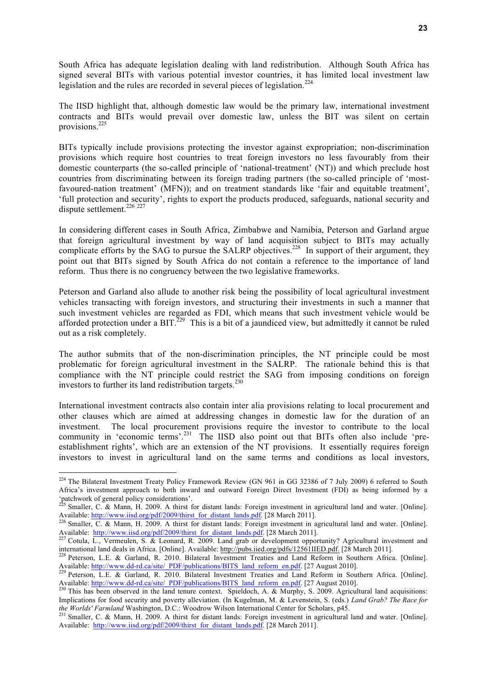South Africa has adequate legislation dealing with land redistribution. Although South Africa has signed several BITs with various potential investor countries, it has limited local investment law legislation and the rules are recorded in several pieces of legislation.<sup>224</sup>

The IISD highlight that, although domestic law would be the primary law, international investment contracts and BITs would prevail over domestic law, unless the BIT was silent on certain provisions.225

BITs typically include provisions protecting the investor against expropriation; non-discrimination provisions which require host countries to treat foreign investors no less favourably from their domestic counterparts (the so-called principle of 'national-treatment' (NT)) and which preclude host countries from discriminating between its foreign trading partners (the so-called principle of 'mostfavoured-nation treatment' (MFN)); and on treatment standards like 'fair and equitable treatment', 'full protection and security', rights to export the products produced, safeguards, national security and dispute settlement.<sup>226</sup><sup>227</sup>

In considering different cases in South Africa, Zimbabwe and Namibia, Peterson and Garland argue that foreign agricultural investment by way of land acquisition subject to BITs may actually complicate efforts by the SAG to pursue the SALRP objectives.<sup>228</sup> In support of their argument, they point out that BITs signed by South Africa do not contain a reference to the importance of land reform. Thus there is no congruency between the two legislative frameworks.

Peterson and Garland also allude to another risk being the possibility of local agricultural investment vehicles transacting with foreign investors, and structuring their investments in such a manner that such investment vehicles are regarded as FDI, which means that such investment vehicle would be afforded protection under a BIT. $^{229}$  This is a bit of a jaundiced view, but admittedly it cannot be ruled out as a risk completely.

The author submits that of the non-discrimination principles, the NT principle could be most problematic for foreign agricultural investment in the SALRP. The rationale behind this is that compliance with the NT principle could restrict the SAG from imposing conditions on foreign investors to further its land redistribution targets.<sup>230</sup>

International investment contracts also contain inter alia provisions relating to local procurement and other clauses which are aimed at addressing changes in domestic law for the duration of an investment. The local procurement provisions require the investor to contribute to the local community in 'economic terms'.<sup>231</sup> The IISD also point out that BITs often also include 'preestablishment rights', which are an extension of the NT provisions. It essentially requires foreign investors to invest in agricultural land on the same terms and conditions as local investors,

 $^{224}$  The Bilateral Investment Treaty Policy Framework Review (GN 961 in GG 32386 of 7 July 2009) 6 referred to South Africa's investment approach to both inward and outward Foreign Direct Investment (FDI) as being informed by a 'patchwork of general policy considerations'.

<sup>&</sup>lt;sup>225</sup> Smaller, C. & Mann, H. 2009. A thirst for distant lands: Foreign investment in agricultural land and water. [Online]. Available: http://www.iisd.org/pdf/2009/thirst for distant lands.pdf. [28 March 2011].

 $\frac{226}{8}$  Smaller, C. & Mann, H. 2009. A thirst for distant lands. Foreign investment in agricultural land and water. [Online]. Available: http://www.iisd.org/pdf/2009/thirst\_for\_distant\_lands.pdf. [28 March 2011].<br><sup>227</sup> Cotula, L., Vermeulen, S. & Leonard, R. 2009. Land grab or development opportunity? Agricultural investment and

international land deals in Africa. [Online]. Available: http://pubs.iied.org/pdfs/12561IIED.pdf. [28 March 2011].<br><sup>228</sup> Peterson, L.E. & Garland, R. 2010. Bilateral Investment Treaties and Land Reform in Southern Africa.

Available: http://www.dd-rd.ca/site/\_PDF/publications/BITS\_land\_reform\_en.pdf. [27 August 2010].<br><sup>229</sup> Peterson, L.E. & Garland, R. 2010. Bilateral Investment Treaties and Land Reform in Southern Africa. [Online].

Available: http://www.dd-rd.ca/site/\_PDF/publications/BITS\_land\_reform\_en.pdf. [27 August 2010].<br><sup>230</sup> This has been observed in the land tenure context. Spieldoch, A. & Murphy, S. 2009. Agricultural land acquisitions:

Implications for food security and poverty alleviation. (In Kugelman, M. & Levenstein, S. (eds.) *Land Grab? The Race for* 

*the Worlds' Farmland* Washington, D.C.: Woodrow Wilson International Center for Scholars, p45.<br><sup>231</sup> Smaller, C. & Mann, H. 2009. A thirst for distant lands: Foreign investment in agricultural land and water. [Online]. Available: http://www.iisd.org/pdf/2009/thirst\_for\_distant\_lands.pdf. [28 March 2011].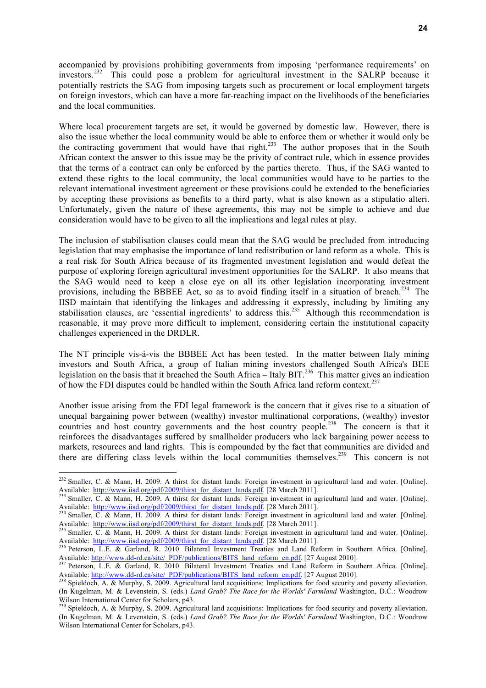accompanied by provisions prohibiting governments from imposing 'performance requirements' on investors.<sup>232</sup> This could pose a problem for agricultural investment in the SALRP because it potentially restricts the SAG from imposing targets such as procurement or local employment targets on foreign investors, which can have a more far-reaching impact on the livelihoods of the beneficiaries and the local communities.

Where local procurement targets are set, it would be governed by domestic law. However, there is also the issue whether the local community would be able to enforce them or whether it would only be the contracting government that would have that right.<sup>233</sup> The author proposes that in the South African context the answer to this issue may be the privity of contract rule, which in essence provides that the terms of a contract can only be enforced by the parties thereto. Thus, if the SAG wanted to extend these rights to the local community, the local communities would have to be parties to the relevant international investment agreement or these provisions could be extended to the beneficiaries by accepting these provisions as benefits to a third party, what is also known as a stipulatio alteri. Unfortunately, given the nature of these agreements, this may not be simple to achieve and due consideration would have to be given to all the implications and legal rules at play.

The inclusion of stabilisation clauses could mean that the SAG would be precluded from introducing legislation that may emphasise the importance of land redistribution or land reform as a whole. This is a real risk for South Africa because of its fragmented investment legislation and would defeat the purpose of exploring foreign agricultural investment opportunities for the SALRP. It also means that the SAG would need to keep a close eye on all its other legislation incorporating investment provisions, including the BBBEE Act, so as to avoid finding itself in a situation of breach.<sup>234</sup> The IISD maintain that identifying the linkages and addressing it expressly, including by limiting any stabilisation clauses, are 'essential ingredients' to address this.<sup>235</sup> Although this recommendation is reasonable, it may prove more difficult to implement, considering certain the institutional capacity challenges experienced in the DRDLR.

The NT principle vis-á-vis the BBBEE Act has been tested. In the matter between Italy mining investors and South Africa, a group of Italian mining investors challenged South Africa's BEE legislation on the basis that it breached the South Africa – Italy BIT.<sup>236</sup> This matter gives an indication of how the FDI disputes could be handled within the South Africa land reform context.<sup>237</sup>

Another issue arising from the FDI legal framework is the concern that it gives rise to a situation of unequal bargaining power between (wealthy) investor multinational corporations, (wealthy) investor countries and host country governments and the host country people.<sup>238</sup> The concern is that it reinforces the disadvantages suffered by smallholder producers who lack bargaining power access to markets, resources and land rights. This is compounded by the fact that communities are divided and there are differing class levels within the local communities themselves.<sup>239</sup> This concern is not

 $^{232}$  Smaller, C. & Mann, H. 2009. A thirst for distant lands: Foreign investment in agricultural land and water. [Online]. Available: http://www.iisd.org/pdf/2009/thirst\_for\_distant\_lands.pdf. [28 March 2011].<br>
<sup>233</sup> Smaller, C. & Mann, H. 2009. A thirst for distant lands: Foreign investment in agricultural land and water. [Online].

Available: http://www.iisd.org/pdf/2009/thirst\_for\_distant\_lands.pdf. [28 March 2011].<br><sup>234</sup> Smaller, C. & Mann, H. 2009. A thirst for distant lands: Foreign investment in agricultural land and water. [Online].

Available: http://www.iisd.org/pdf/2009/thirst\_for\_distant\_lands.pdf. [28 March 2011].<br><sup>235</sup> Smaller, C. & Mann, H. 2009. A thirst for distant lands: Foreign investment in agricultural land and water. [Online].

Available: http://www.iisd.org/pdf/2009/thirst\_for\_distant\_lands.pdf. [28 March 2011].<br><sup>236</sup> Peterson, L.E. & Garland, R. 2010. Bilateral Investment Treaties and Land Reform in Southern Africa. [Online].

Available: http://www.dd-rd.ca/site/\_PDF/publications/BITS\_land\_reform\_en.pdf. [27 August 2010].<br><sup>237</sup> Peterson, L.E. & Garland, R. 2010. Bilateral Investment Treaties and Land Reform in Southern Africa. [Online].

Available: http://www.dd-rd.ca/site/\_PDF/publications/BITS\_land\_reform\_en.pdf. [27 August 2010].<br><sup>238</sup> Spieldoch, A. & Murphy, S. 2009. Agricultural land acquisitions: Implications for food security and poverty alleviation

<sup>(</sup>In Kugelman, M. & Levenstein, S. (eds.) *Land Grab? The Race for the Worlds' Farmland* Washington, D.C.: Woodrow Wilson International Center for Scholars, p43.<br><sup>239</sup> Spieldoch, A. & Murphy, S. 2009. Agricultural land acquisitions: Implications for food security and poverty alleviation.

<sup>(</sup>In Kugelman, M. & Levenstein, S. (eds.) *Land Grab? The Race for the Worlds' Farmland* Washington, D.C.: Woodrow Wilson International Center for Scholars, p43.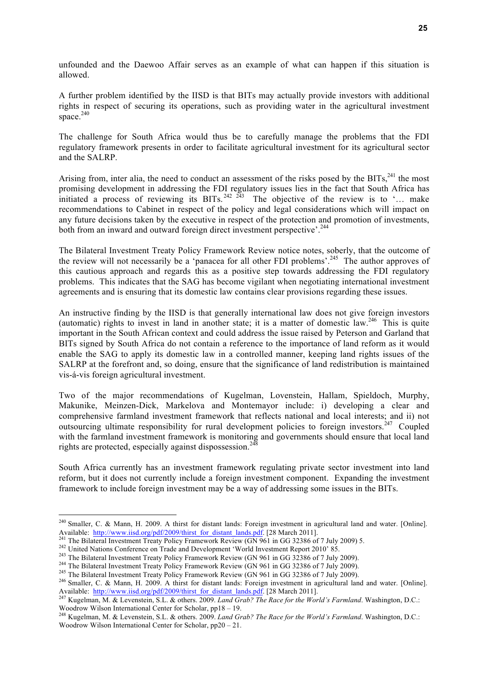unfounded and the Daewoo Affair serves as an example of what can happen if this situation is allowed.

A further problem identified by the IISD is that BITs may actually provide investors with additional rights in respect of securing its operations, such as providing water in the agricultural investment space. $240$ 

The challenge for South Africa would thus be to carefully manage the problems that the FDI regulatory framework presents in order to facilitate agricultural investment for its agricultural sector and the SALRP.

Arising from, inter alia, the need to conduct an assessment of the risks posed by the BITs, $^{241}$  the most promising development in addressing the FDI regulatory issues lies in the fact that South Africa has initiated a process of reviewing its BITs.<sup>242 243</sup> The objective of the review is to '... make recommendations to Cabinet in respect of the policy and legal considerations which will impact on any future decisions taken by the executive in respect of the protection and promotion of investments, both from an inward and outward foreign direct investment perspective'.<sup>244</sup>

The Bilateral Investment Treaty Policy Framework Review notice notes, soberly, that the outcome of the review will not necessarily be a 'panacea for all other FDI problems'.<sup>245</sup> The author approves of this cautious approach and regards this as a positive step towards addressing the FDI regulatory problems. This indicates that the SAG has become vigilant when negotiating international investment agreements and is ensuring that its domestic law contains clear provisions regarding these issues.

An instructive finding by the IISD is that generally international law does not give foreign investors (automatic) rights to invest in land in another state; it is a matter of domestic law.<sup>246</sup> This is quite important in the South African context and could address the issue raised by Peterson and Garland that BITs signed by South Africa do not contain a reference to the importance of land reform as it would enable the SAG to apply its domestic law in a controlled manner, keeping land rights issues of the SALRP at the forefront and, so doing, ensure that the significance of land redistribution is maintained vis-á-vis foreign agricultural investment.

Two of the major recommendations of Kugelman, Lovenstein, Hallam, Spieldoch, Murphy, Makunike, Meinzen-Dick, Markelova and Montemayor include: i) developing a clear and comprehensive farmland investment framework that reflects national and local interests; and ii) not outsourcing ultimate responsibility for rural development policies to foreign investors.<sup>247</sup> Coupled with the farmland investment framework is monitoring and governments should ensure that local land rights are protected, especially against dispossession.<sup>248</sup>

South Africa currently has an investment framework regulating private sector investment into land reform, but it does not currently include a foreign investment component. Expanding the investment framework to include foreign investment may be a way of addressing some issues in the BITs.

<sup>&</sup>lt;sup>240</sup> Smaller, C. & Mann, H. 2009. A thirst for distant lands: Foreign investment in agricultural land and water. [Online]. Available: http://www.iisd.org/pdf/2009/thirst for distant lands. I vives in westure in agricultural rand water. [Online].<br>
<sup>241</sup> The Bilateral Investment Treaty Policy Framework Review (GN 961 in GG 32386 of 7 July 2009)

Available: http://www.iisd.org/pdf/2009/thirst\_for\_distant\_lands.pdf. [28 March 2011].<br><sup>247</sup> Kugelman, M. & Levenstein, S.L. & others. 2009. *Land Grab? The Race for the World's Farmland*. Washington, D.C.:

Woodrow Wilson International Center for Scholar, pp18 – 19.<br><sup>248</sup> Kugelman, M. & Levenstein, S.L. & others. 2009. *Land Grab? The Race for the World's Farmland*. Washington, D.C.:

Woodrow Wilson International Center for Scholar, pp20 – 21.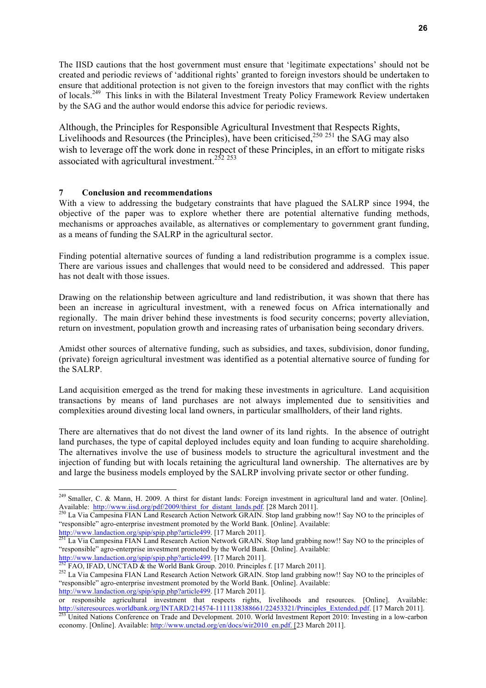The IISD cautions that the host government must ensure that 'legitimate expectations' should not be created and periodic reviews of 'additional rights' granted to foreign investors should be undertaken to ensure that additional protection is not given to the foreign investors that may conflict with the rights of locals.<sup>249</sup> This links in with the Bilateral Investment Treaty Policy Framework Review undertaken by the SAG and the author would endorse this advice for periodic reviews.

Although, the Principles for Responsible Agricultural Investment that Respects Rights, Livelihoods and Resources (the Principles), have been criticised,<sup>250 251</sup> the SAG may also wish to leverage off the work done in respect of these Principles, in an effort to mitigate risks associated with agricultural investment.<sup>252 253</sup>

#### **7 Conclusion and recommendations**

With a view to addressing the budgetary constraints that have plagued the SALRP since 1994, the objective of the paper was to explore whether there are potential alternative funding methods, mechanisms or approaches available, as alternatives or complementary to government grant funding, as a means of funding the SALRP in the agricultural sector.

Finding potential alternative sources of funding a land redistribution programme is a complex issue. There are various issues and challenges that would need to be considered and addressed. This paper has not dealt with those issues.

Drawing on the relationship between agriculture and land redistribution, it was shown that there has been an increase in agricultural investment, with a renewed focus on Africa internationally and regionally. The main driver behind these investments is food security concerns; poverty alleviation, return on investment, population growth and increasing rates of urbanisation being secondary drivers.

Amidst other sources of alternative funding, such as subsidies, and taxes, subdivision, donor funding, (private) foreign agricultural investment was identified as a potential alternative source of funding for the SALRP.

Land acquisition emerged as the trend for making these investments in agriculture. Land acquisition transactions by means of land purchases are not always implemented due to sensitivities and complexities around divesting local land owners, in particular smallholders, of their land rights.

There are alternatives that do not divest the land owner of its land rights. In the absence of outright land purchases, the type of capital deployed includes equity and loan funding to acquire shareholding. The alternatives involve the use of business models to structure the agricultural investment and the injection of funding but with locals retaining the agricultural land ownership. The alternatives are by and large the business models employed by the SALRP involving private sector or other funding.

<sup>&</sup>lt;sup>249</sup> Smaller, C. & Mann, H. 2009. A thirst for distant lands: Foreign investment in agricultural land and water. [Online]. Available: http://www.iisd.org/pdf/2009/thirst\_for\_distant\_lands.pdf. [28 March 2011].<br><sup>250</sup> La Via Campesina FIAN Land Research Action Network GRAIN. Stop land grabbing now!! Say NO to the principles of

<sup>&</sup>quot;responsible" agro-enterprise investment promoted by the World Bank. [Online]. Available:

http://www.landaction.org/spip/spip.php?article499. [17 March 2011].<br><sup>251</sup> La Via Campesina FIAN Land Research Action Network GRAIN. Stop land grabbing now!! Say NO to the principles of "responsible" agro-enterprise investment promoted by the World Bank. [Online]. Available:<br>  $\frac{http://www.landaction.org/spip/spip.php?article499}{222 \text{ FAO} With INIST (Fig. 201)}$ .

<sup>&</sup>lt;sup>252</sup> FAO, IFAD, UNCTAD & the World Bank Group. 2010. Principles f. [17 March 2011].<br><sup>252</sup> La Via Campesina FIAN Land Research Action Network GRAIN. Stop land grabbing now!! Say NO to the principles of "responsible" agro-enterprise investment promoted by the World Bank. [Online]. Available: http://www.landaction.org/spip/spip.php?article499. [17 March 2011].

or responsible agricultural investment that respects rights, livelihoods and resources. [Online]. Available:<br>http://siteresources.worldbank.org/INTARD/214574-1111138388661/22453321/Principles Extended.pdf. [17 March 2011].

<sup>&</sup>lt;sup>253</sup> United Nations Conference on Trade and Development. 2010. World Investment Report 2010: Investing in a low-carbon economy. [Online]. Available: http://www.unctad.org/en/docs/wir2010\_en.pdf. [23 March 2011].